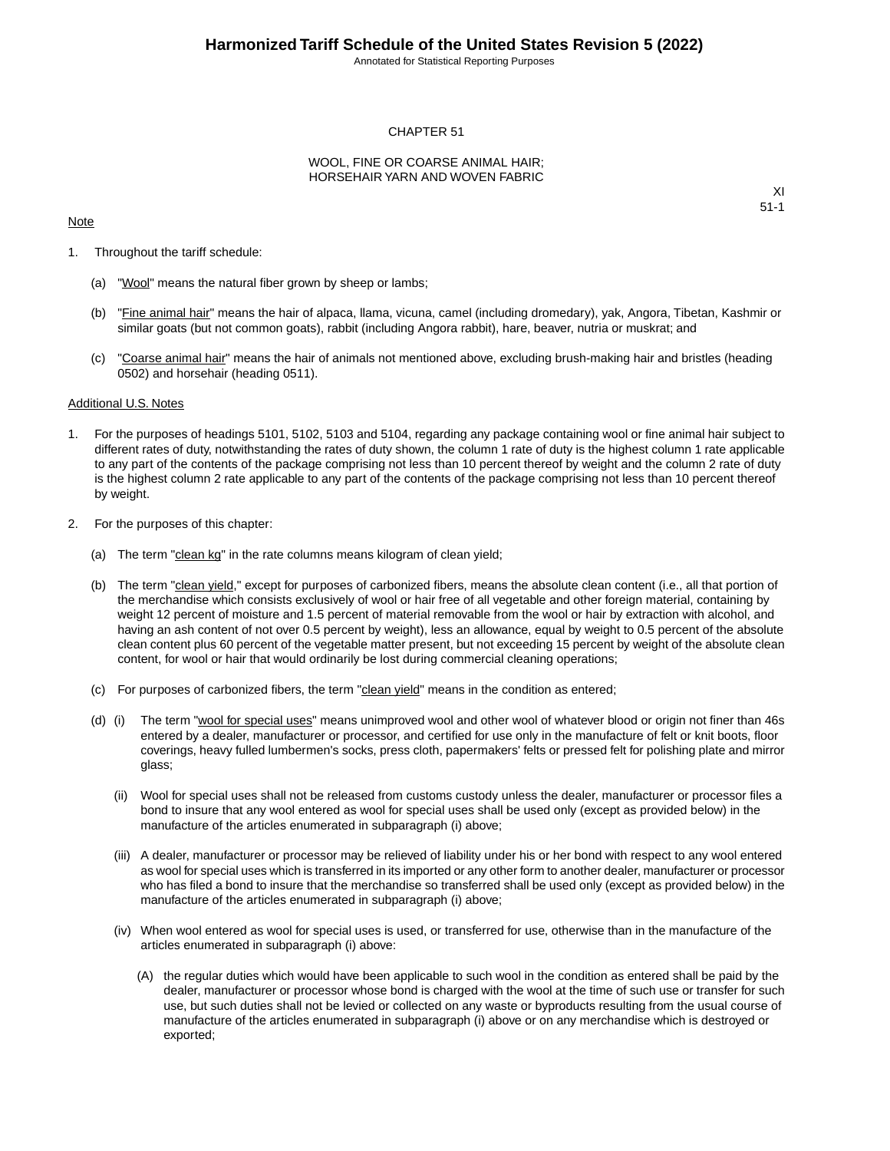Annotated for Statistical Reporting Purposes

#### CHAPTER 51

#### WOOL, FINE OR COARSE ANIMAL HAIR; HORSEHAIR YARN AND WOVEN FABRIC

#### Note

XI 51-1

- 1. Throughout the tariff schedule:
	- (a) "Wool" means the natural fiber grown by sheep or lambs;
	- (b) "Fine animal hair" means the hair of alpaca, llama, vicuna, camel (including dromedary), yak, Angora, Tibetan, Kashmir or similar goats (but not common goats), rabbit (including Angora rabbit), hare, beaver, nutria or muskrat; and
	- (c) "Coarse animal hair" means the hair of animals not mentioned above, excluding brush-making hair and bristles (heading 0502) and horsehair (heading 0511).

#### Additional U.S. Notes

- 1. For the purposes of headings 5101, 5102, 5103 and 5104, regarding any package containing wool or fine animal hair subject to different rates of duty, notwithstanding the rates of duty shown, the column 1 rate of duty is the highest column 1 rate applicable to any part of the contents of the package comprising not less than 10 percent thereof by weight and the column 2 rate of duty is the highest column 2 rate applicable to any part of the contents of the package comprising not less than 10 percent thereof by weight.
- 2. For the purposes of this chapter:
	- (a) The term "clean kg" in the rate columns means kilogram of clean yield;
	- (b) The term "clean yield," except for purposes of carbonized fibers, means the absolute clean content (i.e., all that portion of the merchandise which consists exclusively of wool or hair free of all vegetable and other foreign material, containing by weight 12 percent of moisture and 1.5 percent of material removable from the wool or hair by extraction with alcohol, and having an ash content of not over 0.5 percent by weight), less an allowance, equal by weight to 0.5 percent of the absolute clean content plus 60 percent of the vegetable matter present, but not exceeding 15 percent by weight of the absolute clean content, for wool or hair that would ordinarily be lost during commercial cleaning operations;
	- (c) For purposes of carbonized fibers, the term "clean yield" means in the condition as entered;
	- (d) (i) The term "wool for special uses" means unimproved wool and other wool of whatever blood or origin not finer than 46s entered by a dealer, manufacturer or processor, and certified for use only in the manufacture of felt or knit boots, floor coverings, heavy fulled lumbermen's socks, press cloth, papermakers' felts or pressed felt for polishing plate and mirror glass;
		- (ii) Wool for special uses shall not be released from customs custody unless the dealer, manufacturer or processor files a bond to insure that any wool entered as wool for special uses shall be used only (except as provided below) in the manufacture of the articles enumerated in subparagraph (i) above;
		- (iii) A dealer, manufacturer or processor may be relieved of liability under his or her bond with respect to any wool entered as wool for special uses which is transferred in its imported or any other form to another dealer, manufacturer or processor who has filed a bond to insure that the merchandise so transferred shall be used only (except as provided below) in the manufacture of the articles enumerated in subparagraph (i) above;
		- (iv) When wool entered as wool for special uses is used, or transferred for use, otherwise than in the manufacture of the articles enumerated in subparagraph (i) above:
			- (A) the regular duties which would have been applicable to such wool in the condition as entered shall be paid by the dealer, manufacturer or processor whose bond is charged with the wool at the time of such use or transfer for such use, but such duties shall not be levied or collected on any waste or byproducts resulting from the usual course of manufacture of the articles enumerated in subparagraph (i) above or on any merchandise which is destroyed or exported;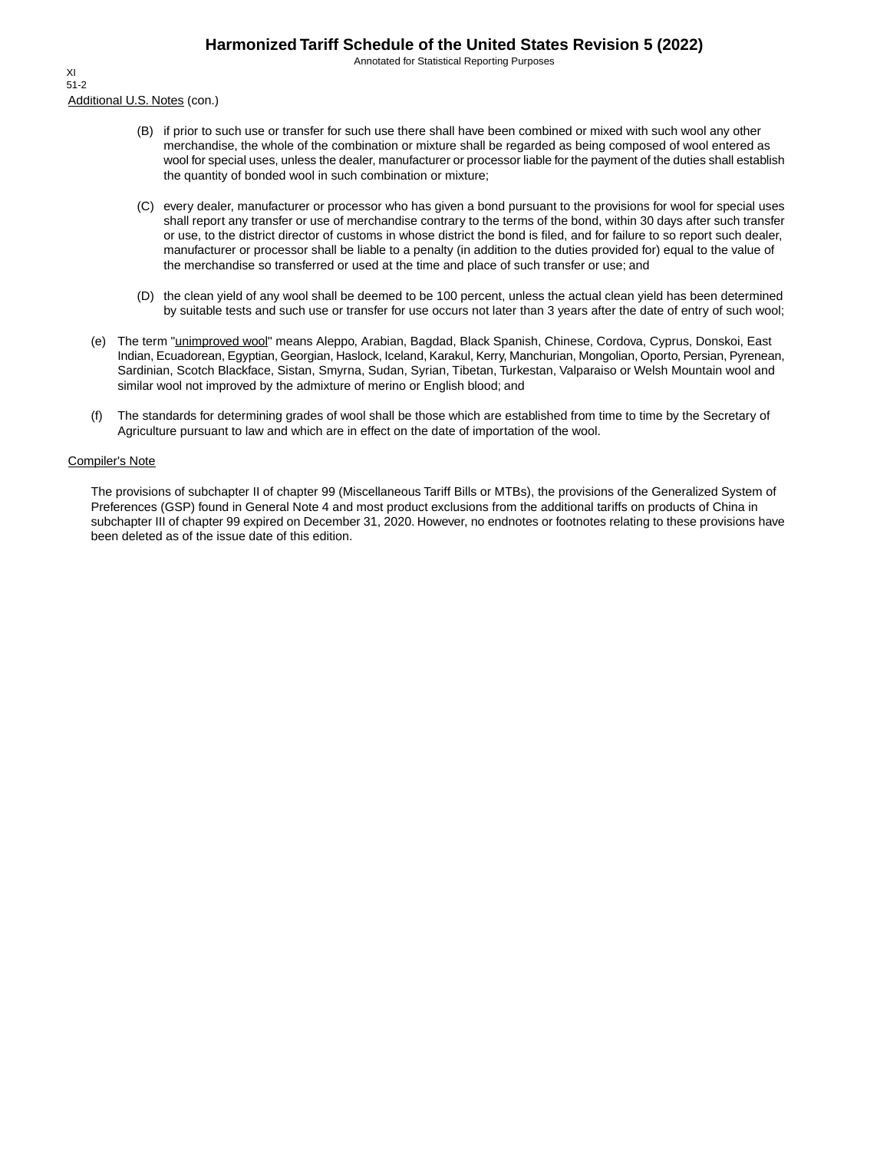Annotated for Statistical Reporting Purposes

Additional U.S. Notes (con.) XI 51-2

- (B) if prior to such use or transfer for such use there shall have been combined or mixed with such wool any other merchandise, the whole of the combination or mixture shall be regarded as being composed of wool entered as wool for special uses, unless the dealer, manufacturer or processor liable for the payment of the duties shall establish the quantity of bonded wool in such combination or mixture;
- (C) every dealer, manufacturer or processor who has given a bond pursuant to the provisions for wool for special uses shall report any transfer or use of merchandise contrary to the terms of the bond, within 30 days after such transfer or use, to the district director of customs in whose district the bond is filed, and for failure to so report such dealer, manufacturer or processor shall be liable to a penalty (in addition to the duties provided for) equal to the value of the merchandise so transferred or used at the time and place of such transfer or use; and
- (D) the clean yield of any wool shall be deemed to be 100 percent, unless the actual clean yield has been determined by suitable tests and such use or transfer for use occurs not later than 3 years after the date of entry of such wool;
- (e) The term "unimproved wool" means Aleppo, Arabian, Bagdad, Black Spanish, Chinese, Cordova, Cyprus, Donskoi, East Indian, Ecuadorean, Egyptian, Georgian, Haslock, Iceland, Karakul, Kerry, Manchurian, Mongolian, Oporto, Persian, Pyrenean, Sardinian, Scotch Blackface, Sistan, Smyrna, Sudan, Syrian, Tibetan, Turkestan, Valparaiso or Welsh Mountain wool and similar wool not improved by the admixture of merino or English blood; and
- (f) The standards for determining grades of wool shall be those which are established from time to time by the Secretary of Agriculture pursuant to law and which are in effect on the date of importation of the wool.

#### Compiler's Note

The provisions of subchapter II of chapter 99 (Miscellaneous Tariff Bills or MTBs), the provisions of the Generalized System of Preferences (GSP) found in General Note 4 and most product exclusions from the additional tariffs on products of China in subchapter III of chapter 99 expired on December 31, 2020. However, no endnotes or footnotes relating to these provisions have been deleted as of the issue date of this edition.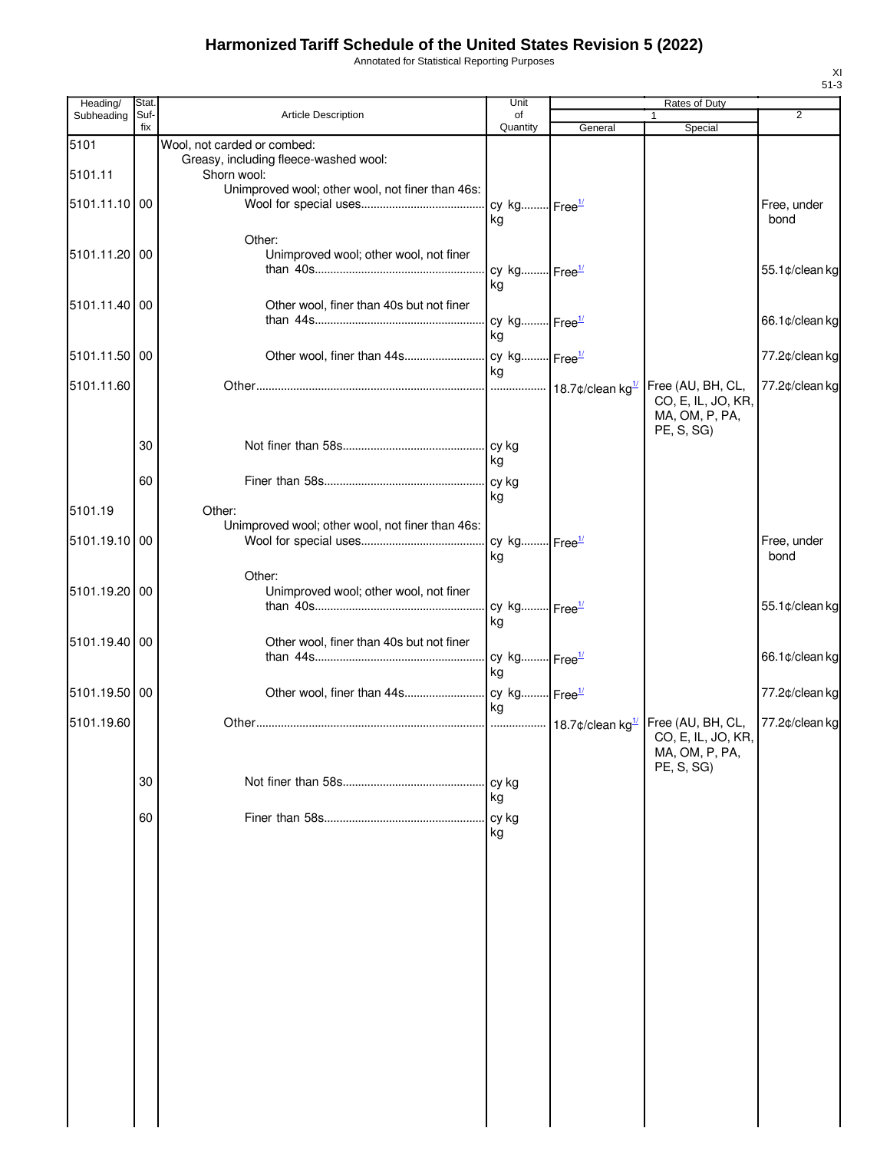Annotated for Statistical Reporting Purposes

| Heading/        | Stat.       |                                                                                     | Unit                           |         | Rates of Duty                                                           |                     |
|-----------------|-------------|-------------------------------------------------------------------------------------|--------------------------------|---------|-------------------------------------------------------------------------|---------------------|
| Subheading      | Suf-<br>fix | <b>Article Description</b>                                                          | of<br>Quantity                 | General | 1<br>Special                                                            | 2                   |
| 5101<br>5101.11 |             | Wool, not carded or combed:<br>Greasy, including fleece-washed wool:<br>Shorn wool: |                                |         |                                                                         |                     |
| 5101.11.10 00   |             | Unimproved wool; other wool, not finer than 46s:                                    | cy kg Free <sup>1/</sup>       |         |                                                                         | Free, under         |
| 5101.11.20 00   |             | Other:<br>Unimproved wool; other wool, not finer                                    | ka                             |         |                                                                         | bond                |
|                 |             |                                                                                     | cy kg Free <sup>1/</sup><br>ka |         |                                                                         | 55.1¢/clean kg      |
| 5101.11.40 00   |             | Other wool, finer than 40s but not finer                                            | cy kg Free <sup>1/</sup><br>kg |         |                                                                         | 66.1¢/clean kg      |
| 5101.11.50 00   |             |                                                                                     | ka                             |         |                                                                         | 77.2¢/clean kg      |
| 5101.11.60      |             |                                                                                     |                                |         | Free (AU, BH, CL,<br>CO, E, IL, JO, KR,<br>MA, OM, P, PA,<br>PE, S, SG) | 77.2¢/clean kg      |
|                 | 30          |                                                                                     | ka                             |         |                                                                         |                     |
| 5101.19         | 60          | Other:                                                                              | kg                             |         |                                                                         |                     |
| 5101.19.10 00   |             | Unimproved wool; other wool, not finer than 46s:                                    | cy kg Free <sup>1/</sup><br>kg |         |                                                                         | Free, under<br>bond |
| 5101.19.20 00   |             | Other:<br>Unimproved wool; other wool, not finer                                    | cy kg Free <sup>1/</sup>       |         |                                                                         | 55.1¢/clean kg      |
| 5101.19.40 00   |             | Other wool, finer than 40s but not finer                                            | kg<br>cy kg Free <sup>1/</sup> |         |                                                                         | 66.1¢/clean kg      |
| 5101.19.50 00   |             |                                                                                     | ka                             |         |                                                                         | 77.2¢/clean kg      |
| 5101.19.60      |             |                                                                                     | ka                             |         | Free (AU, BH, CL,<br>CO, E, IL, JO, KR,<br>MA, OM, P, PA,               | 77.2¢/clean kg      |
|                 | 30          |                                                                                     | cy kg<br>kg                    |         | PE, S, SG)                                                              |                     |
|                 | 60          |                                                                                     | cy kg<br>kg                    |         |                                                                         |                     |
|                 |             |                                                                                     |                                |         |                                                                         |                     |
|                 |             |                                                                                     |                                |         |                                                                         |                     |
|                 |             |                                                                                     |                                |         |                                                                         |                     |
|                 |             |                                                                                     |                                |         |                                                                         |                     |
|                 |             |                                                                                     |                                |         |                                                                         |                     |
|                 |             |                                                                                     |                                |         |                                                                         |                     |
|                 |             |                                                                                     |                                |         |                                                                         |                     |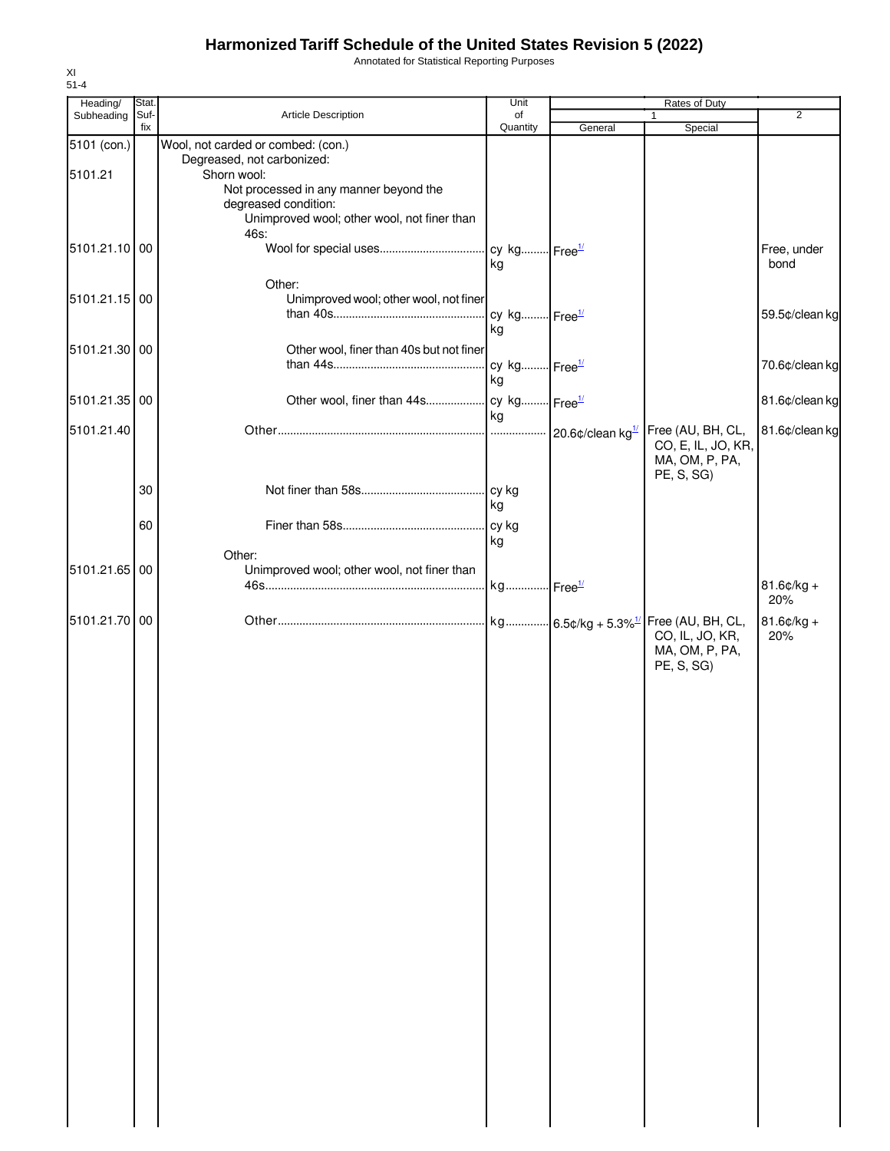Annotated for Statistical Reporting Purposes

| Heading/      | Stat.       |                                                       | Unit                     |         | Rates of Duty                                                        |                      |
|---------------|-------------|-------------------------------------------------------|--------------------------|---------|----------------------------------------------------------------------|----------------------|
| Subheading    | Suf-<br>fix | Article Description                                   | of<br>Quantity           | General | 1<br>Special                                                         | $\overline{2}$       |
| 5101 (con.)   |             | Wool, not carded or combed: (con.)                    |                          |         |                                                                      |                      |
|               |             | Degreased, not carbonized:                            |                          |         |                                                                      |                      |
| 5101.21       |             | Shorn wool:<br>Not processed in any manner beyond the |                          |         |                                                                      |                      |
|               |             | degreased condition:                                  |                          |         |                                                                      |                      |
|               |             | Unimproved wool; other wool, not finer than           |                          |         |                                                                      |                      |
|               |             | 46s:                                                  |                          |         |                                                                      |                      |
| 5101.21.10 00 |             |                                                       |                          |         |                                                                      | Free, under<br>bond  |
|               |             |                                                       | kg                       |         |                                                                      |                      |
| 5101.21.15 00 |             | Other:<br>Unimproved wool; other wool, not finer      |                          |         |                                                                      |                      |
|               |             |                                                       | cy kg Free <sup>1/</sup> |         |                                                                      | 59.5¢/clean kg       |
|               |             |                                                       | kg                       |         |                                                                      |                      |
| 5101.21.30 00 |             | Other wool, finer than 40s but not finer              |                          |         |                                                                      |                      |
|               |             |                                                       | cy kg Free <sup>1/</sup> |         |                                                                      | 70.6¢/clean kg       |
|               |             |                                                       | kg                       |         |                                                                      |                      |
| 5101.21.35    | 00          | Other wool, finer than 44s                            | cy kg Free <sup>1/</sup> |         |                                                                      | 81.6¢/clean kg       |
| 5101.21.40    |             |                                                       | kg                       |         | Free (AU, BH, CL,                                                    | 81.6¢/clean kg       |
|               |             |                                                       |                          |         | CO, E, IL, JO, KR,                                                   |                      |
|               |             |                                                       |                          |         | MA, OM, P, PA,                                                       |                      |
|               |             |                                                       |                          |         | PE, S, SG)                                                           |                      |
|               | 30          |                                                       | cy kg<br>kg              |         |                                                                      |                      |
|               | 60          |                                                       | cy kg                    |         |                                                                      |                      |
|               |             |                                                       | kg                       |         |                                                                      |                      |
|               |             | Other:                                                |                          |         |                                                                      |                      |
| 5101.21.65    | 00          | Unimproved wool; other wool, not finer than           |                          |         |                                                                      |                      |
|               |             |                                                       | kg Free <sup>1/</sup>    |         |                                                                      | $81.6$ ¢/kg +<br>20% |
| 5101.21.70 00 |             |                                                       |                          |         |                                                                      |                      |
|               |             |                                                       |                          |         | kg 6.5¢/kg + 5.3% <sup>1/</sup> Free (AU, BH, CL,<br>CO, IL, JO, KR, | $81.6$ ¢/kg +<br>20% |
|               |             |                                                       |                          |         | MA, OM, P, PA,                                                       |                      |
|               |             |                                                       |                          |         | PE, S, SG)                                                           |                      |
|               |             |                                                       |                          |         |                                                                      |                      |
|               |             |                                                       |                          |         |                                                                      |                      |
|               |             |                                                       |                          |         |                                                                      |                      |
|               |             |                                                       |                          |         |                                                                      |                      |
|               |             |                                                       |                          |         |                                                                      |                      |
|               |             |                                                       |                          |         |                                                                      |                      |
|               |             |                                                       |                          |         |                                                                      |                      |
|               |             |                                                       |                          |         |                                                                      |                      |
|               |             |                                                       |                          |         |                                                                      |                      |
|               |             |                                                       |                          |         |                                                                      |                      |
|               |             |                                                       |                          |         |                                                                      |                      |
|               |             |                                                       |                          |         |                                                                      |                      |
|               |             |                                                       |                          |         |                                                                      |                      |
|               |             |                                                       |                          |         |                                                                      |                      |
|               |             |                                                       |                          |         |                                                                      |                      |
|               |             |                                                       |                          |         |                                                                      |                      |
|               |             |                                                       |                          |         |                                                                      |                      |
|               |             |                                                       |                          |         |                                                                      |                      |
|               |             |                                                       |                          |         |                                                                      |                      |
|               |             |                                                       |                          |         |                                                                      |                      |
|               |             |                                                       |                          |         |                                                                      |                      |
|               |             |                                                       |                          |         |                                                                      |                      |
|               |             |                                                       |                          |         |                                                                      |                      |
|               |             |                                                       |                          |         |                                                                      |                      |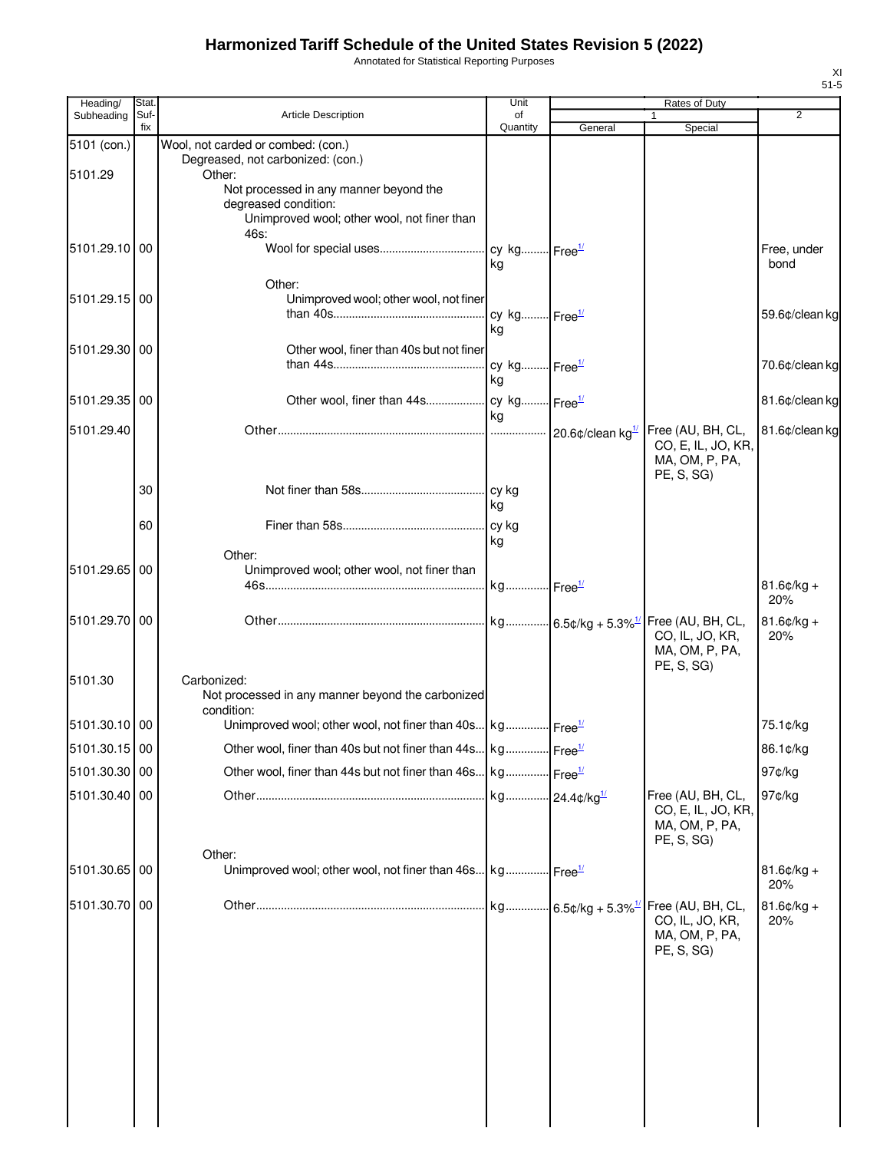Annotated for Statistical Reporting Purposes

| Heading/      | Stat        |                                                                                 | Unit           |         | Rates of Duty                        | $\overline{2}$      |
|---------------|-------------|---------------------------------------------------------------------------------|----------------|---------|--------------------------------------|---------------------|
| Subheading    | Suf-<br>fix | <b>Article Description</b>                                                      | of<br>Quantity | General | $\mathbf{1}$<br>Special              |                     |
| 5101 (con.)   |             | Wool, not carded or combed: (con.)                                              |                |         |                                      |                     |
| 5101.29       |             | Degreased, not carbonized: (con.)<br>Other:                                     |                |         |                                      |                     |
|               |             | Not processed in any manner beyond the                                          |                |         |                                      |                     |
|               |             | degreased condition:<br>Unimproved wool; other wool, not finer than             |                |         |                                      |                     |
|               |             | 46s:                                                                            |                |         |                                      |                     |
| 5101.29.10 00 |             |                                                                                 | kg             |         |                                      | Free, under<br>bond |
|               |             | Other:                                                                          |                |         |                                      |                     |
| 5101.29.15 00 |             | Unimproved wool; other wool, not finer                                          |                |         |                                      |                     |
|               |             |                                                                                 | kg             |         |                                      | 59.6¢/clean kg      |
| 5101.29.30 00 |             | Other wool, finer than 40s but not finer                                        |                |         |                                      |                     |
|               |             |                                                                                 |                |         |                                      | 70.6¢/clean kg      |
|               |             |                                                                                 | kg             |         |                                      |                     |
| 5101.29.35 00 |             |                                                                                 | <b>kg</b>      |         |                                      | 81.6¢/clean kg      |
| 5101.29.40    |             |                                                                                 |                |         | Free (AU, BH, CL,                    | 81.6¢/clean kg      |
|               |             |                                                                                 |                |         | CO, E, IL, JO, KR,                   |                     |
|               |             |                                                                                 |                |         | MA, OM, P, PA,<br>PE, S, SG          |                     |
|               | 30          |                                                                                 |                |         |                                      |                     |
|               |             |                                                                                 | l ka           |         |                                      |                     |
|               | 60          |                                                                                 | kg             |         |                                      |                     |
|               |             | Other:                                                                          |                |         |                                      |                     |
| 5101.29.65 00 |             | Unimproved wool; other wool, not finer than                                     |                |         |                                      | $81.6¢/kg +$        |
|               |             |                                                                                 |                |         |                                      | 20%                 |
| 5101.29.70 00 |             |                                                                                 |                |         | Free (AU, BH, CL,                    | $81.6$ ¢/kg +       |
|               |             |                                                                                 |                |         | CO, IL, JO, KR,<br>MA, OM, P, PA,    | 20%                 |
|               |             |                                                                                 |                |         | PE, S, SG)                           |                     |
| 5101.30       |             | Carbonized:<br>Not processed in any manner beyond the carbonized                |                |         |                                      |                     |
|               |             | condition:                                                                      |                |         |                                      |                     |
| 5101.30.10 00 |             | Unimproved wool; other wool, not finer than 40s kg Free <sup>1/</sup>           |                |         |                                      | 75.1¢/kg            |
| 5101.30.15 00 |             | Other wool, finer than 40s but not finer than 44s kg Free <sup>1/</sup>         |                |         |                                      | 86.1¢/kg            |
| 5101.30.30 00 |             | Other wool, finer than 44s but not finer than 46s kg Free <sup>1/</sup>         |                |         |                                      | 97¢/kg              |
| 5101.30.40 00 |             |                                                                                 |                |         | Free (AU, BH, CL,                    | 97¢/kg              |
|               |             |                                                                                 |                |         | CO, E, IL, JO, KR,<br>MA, OM, P, PA, |                     |
|               |             |                                                                                 |                |         | PE, S, SG)                           |                     |
| 5101.30.65 00 |             | Other:<br>Unimproved wool; other wool, not finer than 46s kg Free <sup>1/</sup> |                |         |                                      | $81.6$ ¢/kg +       |
|               |             |                                                                                 |                |         |                                      | 20%                 |
| 5101.30.70 00 |             |                                                                                 |                |         | Free (AU, BH, CL,                    | $81.6$ ¢/kg +       |
|               |             |                                                                                 |                |         | CO, IL, JO, KR,<br>MA, OM, P, PA,    | 20%                 |
|               |             |                                                                                 |                |         | PE, S, SG)                           |                     |
|               |             |                                                                                 |                |         |                                      |                     |
|               |             |                                                                                 |                |         |                                      |                     |
|               |             |                                                                                 |                |         |                                      |                     |
|               |             |                                                                                 |                |         |                                      |                     |
|               |             |                                                                                 |                |         |                                      |                     |
|               |             |                                                                                 |                |         |                                      |                     |
|               |             |                                                                                 |                |         |                                      |                     |
|               |             |                                                                                 |                |         |                                      |                     |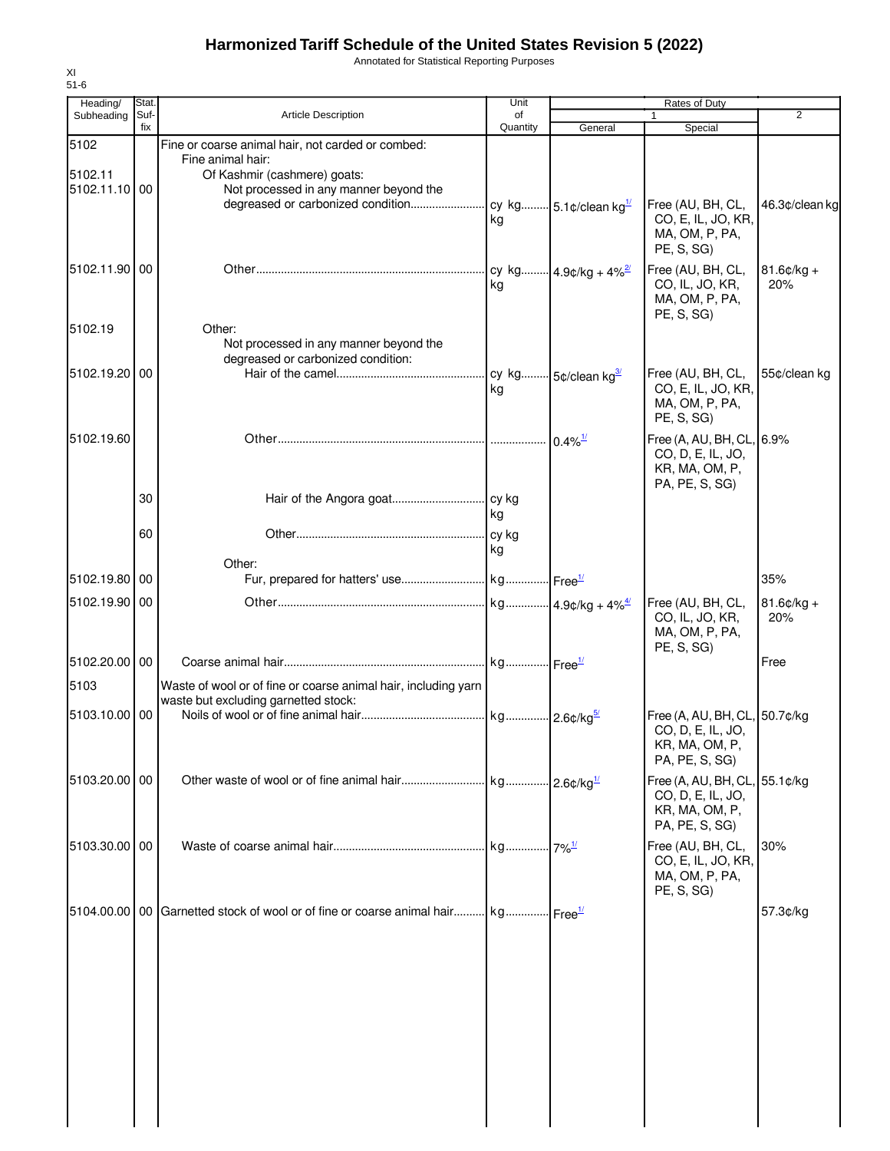Annotated for Statistical Reporting Purposes

| Heading/      | Stat        |                                                                             | Unit           |                       | Rates of Duty                                  |                |
|---------------|-------------|-----------------------------------------------------------------------------|----------------|-----------------------|------------------------------------------------|----------------|
| Subheading    | Suf-<br>fix | <b>Article Description</b>                                                  | of<br>Quantity | General               | 1<br>Special                                   | 2              |
| 5102          |             | Fine or coarse animal hair, not carded or combed:                           |                |                       |                                                |                |
| 5102.11       |             | Fine animal hair:<br>Of Kashmir (cashmere) goats:                           |                |                       |                                                |                |
| 5102.11.10 00 |             | Not processed in any manner beyond the                                      |                |                       |                                                |                |
|               |             |                                                                             |                |                       | Free (AU, BH, CL,                              | 46.3¢/clean kg |
|               |             |                                                                             | kg             |                       | CO, E, IL, JO, KR,<br>MA, OM, P, PA,           |                |
|               |             |                                                                             |                |                       | PE, S, SG)                                     |                |
| 5102.11.90 00 |             |                                                                             |                |                       | Free (AU, BH, CL,                              | $81.6$ ¢/kg +  |
|               |             |                                                                             | kg             |                       | CO, IL, JO, KR,                                | 20%            |
|               |             |                                                                             |                |                       | MA, OM, P, PA,<br>PE, S, SG)                   |                |
| 5102.19       |             | Other:                                                                      |                |                       |                                                |                |
|               |             | Not processed in any manner beyond the                                      |                |                       |                                                |                |
| 5102.19.20 00 |             | degreased or carbonized condition:                                          |                |                       | Free (AU, BH, CL,                              | 55¢/clean kg   |
|               |             |                                                                             | kg             |                       | CO, E, IL, JO, KR,                             |                |
|               |             |                                                                             |                |                       | MA, OM, P, PA,                                 |                |
|               |             |                                                                             |                |                       | PE, S, SG)                                     |                |
| 5102.19.60    |             |                                                                             |                | $0.4\%$ <sup>1/</sup> | Free (A, AU, BH, CL, 6.9%<br>CO, D, E, IL, JO, |                |
|               |             |                                                                             |                |                       | KR, MA, OM, P,                                 |                |
|               | 30          |                                                                             |                |                       | PA, PE, S, SG)                                 |                |
|               |             |                                                                             | ka             |                       |                                                |                |
|               | 60          |                                                                             |                |                       |                                                |                |
|               |             |                                                                             | kg             |                       |                                                |                |
| 5102.19.80 00 |             | Other:                                                                      |                |                       |                                                | 35%            |
| 5102.19.90 00 |             |                                                                             |                |                       | Free (AU, BH, CL,                              | $81.6$ ¢/kg +  |
|               |             |                                                                             |                |                       | CO, IL, JO, KR,                                | 20%            |
|               |             |                                                                             |                |                       | MA, OM, P, PA,                                 |                |
| 5102.20.00 00 |             |                                                                             |                |                       | PE, S, SG)                                     | Free           |
| 5103          |             | Waste of wool or of fine or coarse animal hair, including yarn              |                |                       |                                                |                |
|               |             | waste but excluding garnetted stock:                                        |                |                       |                                                |                |
| 5103.10.00 00 |             |                                                                             |                |                       | Free (A, AU, BH, CL, 50.7¢/kg                  |                |
|               |             |                                                                             |                |                       | CO, D, E, IL, JO,<br>KR, MA, OM, P,            |                |
|               |             |                                                                             |                |                       | PA, PE, S, SG)                                 |                |
| 5103.20.00 00 |             |                                                                             |                |                       | Free (A, AU, BH, CL, 55.1¢/kg                  |                |
|               |             |                                                                             |                |                       | CO, D, E, IL, JO,                              |                |
|               |             |                                                                             |                |                       | KR, MA, OM, P,<br>PA, PE, S, SG)               |                |
| 5103.30.00 00 |             |                                                                             |                | $7\%$ <sup>1/</sup>   | Free (AU, BH, CL,                              | 30%            |
|               |             |                                                                             |                |                       | CO, E, IL, JO, KR,                             |                |
|               |             |                                                                             |                |                       | MA, OM, P, PA,<br>PE, S, SG)                   |                |
|               |             | 5104.00.00   00 Garnetted stock of wool or of fine or coarse animal hair kg |                |                       |                                                | 57.3¢/kg       |
|               |             |                                                                             |                |                       |                                                |                |
|               |             |                                                                             |                |                       |                                                |                |
|               |             |                                                                             |                |                       |                                                |                |
|               |             |                                                                             |                |                       |                                                |                |
|               |             |                                                                             |                |                       |                                                |                |
|               |             |                                                                             |                |                       |                                                |                |
|               |             |                                                                             |                |                       |                                                |                |
|               |             |                                                                             |                |                       |                                                |                |
|               |             |                                                                             |                |                       |                                                |                |
|               |             |                                                                             |                |                       |                                                |                |
|               |             |                                                                             |                |                       |                                                |                |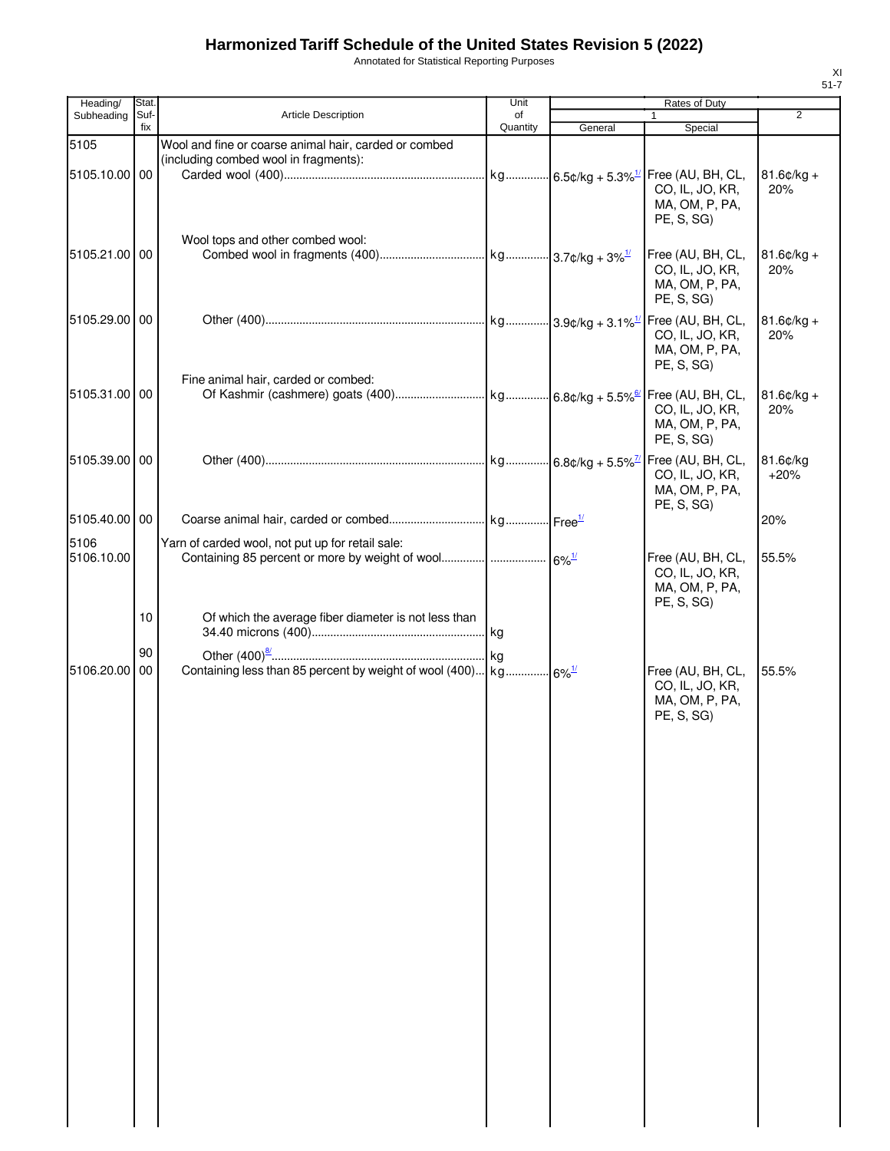Annotated for Statistical Reporting Purposes

| Heading/           | Stat. |                                                                                                                        | Unit     |         | Rates of Duty                                                        |                      |
|--------------------|-------|------------------------------------------------------------------------------------------------------------------------|----------|---------|----------------------------------------------------------------------|----------------------|
| Subheading         | Suf-  | <b>Article Description</b>                                                                                             | of       |         |                                                                      | $\overline{2}$       |
| 5105               | fix   | Wool and fine or coarse animal hair, carded or combed                                                                  | Quantity | General | Special                                                              |                      |
| 5105.10.00 00      |       | (including combed wool in fragments):                                                                                  |          |         | CO, IL, JO, KR,<br>MA, OM, P, PA,<br>PE, S, SG                       | $81.6¢/kg +$<br>20%  |
| 5105.21.00 00      |       | Wool tops and other combed wool:                                                                                       |          |         | Free (AU, BH, CL,<br>CO, IL, JO, KR,<br>MA, OM, P, PA,<br>PE, S, SG) | $81.6$ ¢/kg +<br>20% |
| 5105.29.00 00      |       |                                                                                                                        |          |         | CO, IL, JO, KR,<br>MA, OM, P, PA,<br>PE, S, SG)                      | $81.6$ ¢/kg +<br>20% |
| 5105.31.00 00      |       | Fine animal hair, carded or combed:                                                                                    |          |         | CO, IL, JO, KR,<br>MA, OM, P, PA,<br>PE, S, SG)                      | $81.6$ ¢/kg +<br>20% |
| 5105.39.00 00      |       |                                                                                                                        |          |         | CO, IL, JO, KR,<br>MA, OM, P, PA,<br>PE, S, SG)                      | 81.6¢/kg<br>$+20%$   |
| 5105.40.00 00      |       |                                                                                                                        |          |         |                                                                      | 20%                  |
| 5106<br>5106.10.00 |       | Yarn of carded wool, not put up for retail sale:<br>Containing 85 percent or more by weight of wool   6% <sup>1/</sup> |          |         | Free (AU, BH, CL,<br>CO, IL, JO, KR,<br>MA, OM, P, PA,<br>PE, S, SG) | 55.5%                |
|                    | 10    | Of which the average fiber diameter is not less than                                                                   |          |         |                                                                      |                      |
|                    | 90    |                                                                                                                        |          |         |                                                                      |                      |
| 5106.20.00         | 00    | Containing less than 85 percent by weight of wool (400) kg 6% <sup>1/</sup>                                            |          |         | Free (AU, BH, CL,<br>CO, IL, JO, KR,<br>MA, OM, P, PA,<br>PE, S, SG) | 55.5%                |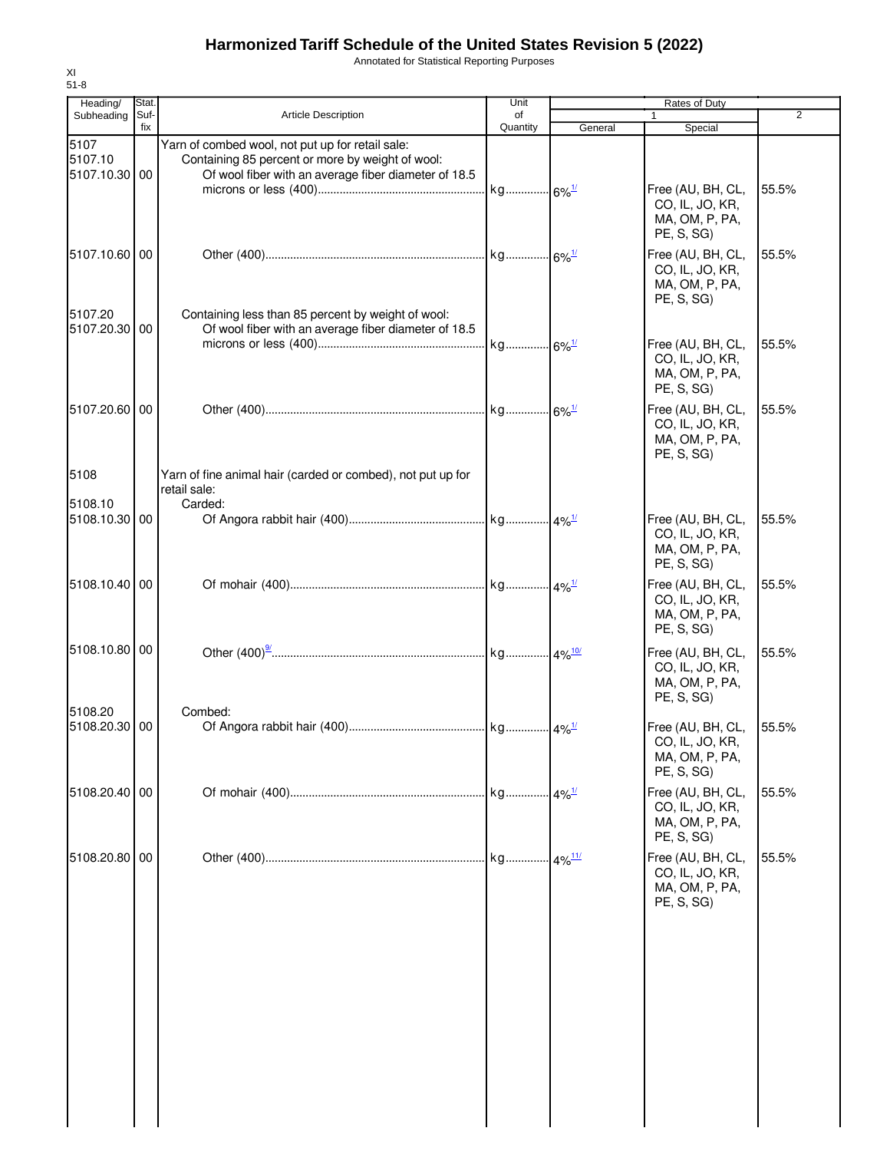Annotated for Statistical Reporting Purposes

| Heading/                      | Stat.       |                                                                                                                                                              | Unit                |         | Rates of Duty                                                        |                |
|-------------------------------|-------------|--------------------------------------------------------------------------------------------------------------------------------------------------------------|---------------------|---------|----------------------------------------------------------------------|----------------|
| Subheading                    | Suf-<br>fix | <b>Article Description</b>                                                                                                                                   | of<br>Quantity      |         |                                                                      | $\overline{2}$ |
| 5107<br>5107.10<br>5107.10.30 | 00          | Yarn of combed wool, not put up for retail sale:<br>Containing 85 percent or more by weight of wool:<br>Of wool fiber with an average fiber diameter of 18.5 |                     | General | Special                                                              |                |
|                               |             |                                                                                                                                                              | kg 6% <sup>1/</sup> |         | Free (AU, BH, CL,<br>CO, IL, JO, KR,<br>MA, OM, P, PA,<br>PE, S, SG) | 55.5%          |
| 5107.10.60 00<br>5107.20      |             | Containing less than 85 percent by weight of wool:                                                                                                           |                     |         | Free (AU, BH, CL,<br>CO, IL, JO, KR,<br>MA, OM, P, PA,<br>PE, S, SG) | 55.5%          |
| 5107.20.30 00                 |             | Of wool fiber with an average fiber diameter of 18.5                                                                                                         |                     |         | Free (AU, BH, CL,<br>CO, IL, JO, KR,<br>MA, OM, P, PA,<br>PE, S, SG) | 55.5%          |
| 5107.20.60 00                 |             |                                                                                                                                                              |                     |         | Free (AU, BH, CL,<br>CO, IL, JO, KR,<br>MA, OM, P, PA,<br>PE, S, SG) | 55.5%          |
| 5108                          |             | Yarn of fine animal hair (carded or combed), not put up for<br>retail sale:                                                                                  |                     |         |                                                                      |                |
| 5108.10<br>5108.10.30 00      |             | Carded:                                                                                                                                                      |                     |         | Free (AU, BH, CL,<br>CO, IL, JO, KR,<br>MA, OM, P, PA,<br>PE, S, SG) | 55.5%          |
| 5108.10.40 00                 |             |                                                                                                                                                              |                     |         | Free (AU, BH, CL,<br>CO, IL, JO, KR,<br>MA, OM, P, PA,<br>PE, S, SG) | 55.5%          |
| 5108.10.80 00                 |             |                                                                                                                                                              |                     |         | Free (AU, BH, CL,<br>CO, IL, JO, KR,<br>MA, OM, P, PA,<br>PE, S, SG) | 55.5%          |
| 5108.20<br>5108.20.30 00      |             | Combed:                                                                                                                                                      |                     |         | Free (AU, BH, CL,<br>CO, IL, JO, KR,<br>MA, OM, P, PA,<br>PE, S, SG) | 55.5%          |
| 5108.20.40                    | 00          |                                                                                                                                                              |                     |         | Free (AU, BH, CL,<br>CO, IL, JO, KR,<br>MA, OM, P, PA,<br>PE, S, SG) | 55.5%          |
| 5108.20.80                    | 00          |                                                                                                                                                              |                     |         | Free (AU, BH, CL,<br>CO, IL, JO, KR,<br>MA, OM, P, PA,<br>PE, S, SG) | 55.5%          |
|                               |             |                                                                                                                                                              |                     |         |                                                                      |                |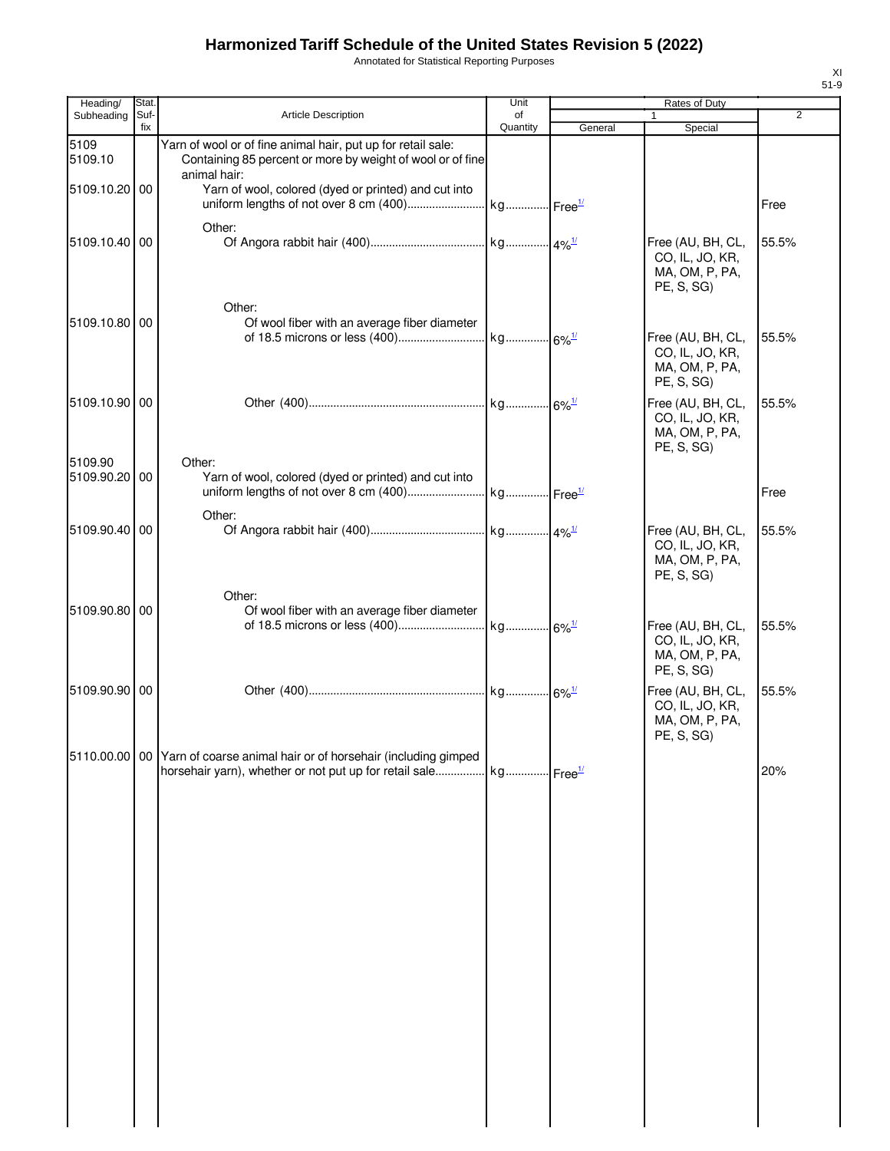Annotated for Statistical Reporting Purposes

| Heading/                 | <b>Stat</b> |                                                                                                                                            | Unit                  |         | Rates of Duty                                                                      |                |
|--------------------------|-------------|--------------------------------------------------------------------------------------------------------------------------------------------|-----------------------|---------|------------------------------------------------------------------------------------|----------------|
| Subheading               | Suf-        | <b>Article Description</b>                                                                                                                 | of                    |         |                                                                                    | $\overline{2}$ |
|                          | fix         |                                                                                                                                            | Quantity              | General | Special                                                                            |                |
| 5109<br>5109.10          |             | Yarn of wool or of fine animal hair, put up for retail sale:<br>Containing 85 percent or more by weight of wool or of fine<br>animal hair: |                       |         |                                                                                    |                |
| 5109.10.20 00            |             | Yarn of wool, colored (dyed or printed) and cut into                                                                                       |                       |         |                                                                                    | Free           |
| 5109.10.40 00            |             | Other:                                                                                                                                     |                       |         | Free (AU, BH, CL,<br>CO, IL, JO, KR,<br>MA, OM, P, PA,<br>PE, S, SG)               | 55.5%          |
| 5109.10.80 00            |             | Other:<br>Of wool fiber with an average fiber diameter                                                                                     |                       |         | Free (AU, BH, CL,<br>CO, IL, JO, KR,<br>MA, OM, P, PA,<br>PE, S, SG)               | 55.5%          |
| 5109.10.90 00            |             |                                                                                                                                            |                       |         | Free (AU, BH, CL,<br>CO, IL, JO, KR,<br>MA, OM, P, PA,<br>PE, S, SG)               | 55.5%          |
| 5109.90<br>5109.90.20 00 |             | Other:<br>Yarn of wool, colored (dyed or printed) and cut into                                                                             |                       |         |                                                                                    | Free           |
| 5109.90.40 00            |             | Other:                                                                                                                                     |                       |         | Free (AU, BH, CL,<br>CO, IL, JO, KR,<br>MA, OM, P, PA,<br>PE, S, SG)               | 55.5%          |
| 5109.90.80 00            |             | Other:<br>Of wool fiber with an average fiber diameter                                                                                     |                       |         | Free (AU, BH, CL,<br>CO, IL, JO, KR,<br>MA, OM, P, PA,                             | 55.5%          |
| 5109.90.90 00            |             |                                                                                                                                            |                       |         | PE, S, SG)<br>Free (AU, BH, CL,<br>CO, IL, JO, KR,<br>MA, OM, P, PA,<br>PE, S, SG) | 55.5%          |
| 5110.00.00 00            |             | Yarn of coarse animal hair or of horsehair (including gimped<br>horsehair yarn), whether or not put up for retail sale                     | kg Free <sup>1/</sup> |         |                                                                                    | 20%            |
|                          |             |                                                                                                                                            |                       |         |                                                                                    |                |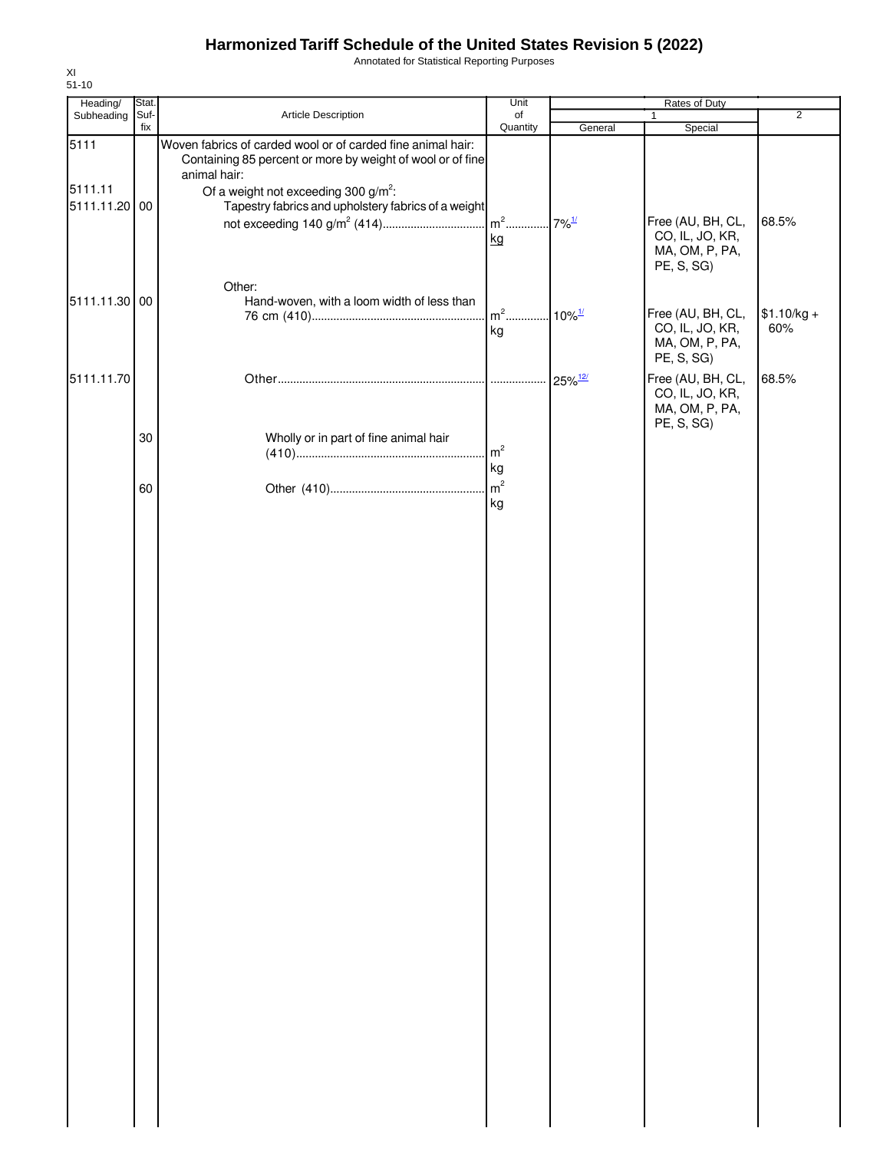Annotated for Statistical Reporting Purposes

| Heading/              | Stat. |                                                                                                                           | Unit                                  |                       | Rates of Duty                                                        |                |
|-----------------------|-------|---------------------------------------------------------------------------------------------------------------------------|---------------------------------------|-----------------------|----------------------------------------------------------------------|----------------|
| Subheading            | Suf-  | Article Description                                                                                                       | of                                    |                       | 1                                                                    | $\overline{2}$ |
| 5111                  | fix   | Woven fabrics of carded wool or of carded fine animal hair:<br>Containing 85 percent or more by weight of wool or of fine | Quantity                              | General               | Special                                                              |                |
| 5111.11<br>5111.11.20 | 00    | animal hair:<br>Of a weight not exceeding 300 $g/m^2$ :<br>Tapestry fabrics and upholstery fabrics of a weight            | m <sup>2</sup> 7% <sup>1/</sup><br>kg |                       | Free (AU, BH, CL,<br>CO, IL, JO, KR,                                 | 68.5%          |
| 5111.11.30 00         |       | Other:<br>Hand-woven, with a loom width of less than                                                                      | $m2$                                  | $10\%$ <sup>1/</sup>  | MA, OM, P, PA,<br>PE, S, SG)<br>Free (AU, BH, CL,                    | $$1.10/kg +$   |
|                       |       |                                                                                                                           | kg                                    |                       | CO, IL, JO, KR,<br>MA, OM, P, PA,<br>PE, S, SG)                      | 60%            |
| 5111.11.70            |       |                                                                                                                           |                                       | $25\%$ <sup>12/</sup> | Free (AU, BH, CL,<br>CO, IL, JO, KR,<br>MA, OM, P, PA,<br>PE, S, SG) | 68.5%          |
|                       | 30    | Wholly or in part of fine animal hair                                                                                     | m <sup>2</sup><br>kg                  |                       |                                                                      |                |
|                       | 60    |                                                                                                                           | $\mathsf{m}^2$<br>kg                  |                       |                                                                      |                |
|                       |       |                                                                                                                           |                                       |                       |                                                                      |                |
|                       |       |                                                                                                                           |                                       |                       |                                                                      |                |
|                       |       |                                                                                                                           |                                       |                       |                                                                      |                |
|                       |       |                                                                                                                           |                                       |                       |                                                                      |                |
|                       |       |                                                                                                                           |                                       |                       |                                                                      |                |
|                       |       |                                                                                                                           |                                       |                       |                                                                      |                |
|                       |       |                                                                                                                           |                                       |                       |                                                                      |                |
|                       |       |                                                                                                                           |                                       |                       |                                                                      |                |
|                       |       |                                                                                                                           |                                       |                       |                                                                      |                |
|                       |       |                                                                                                                           |                                       |                       |                                                                      |                |
|                       |       |                                                                                                                           |                                       |                       |                                                                      |                |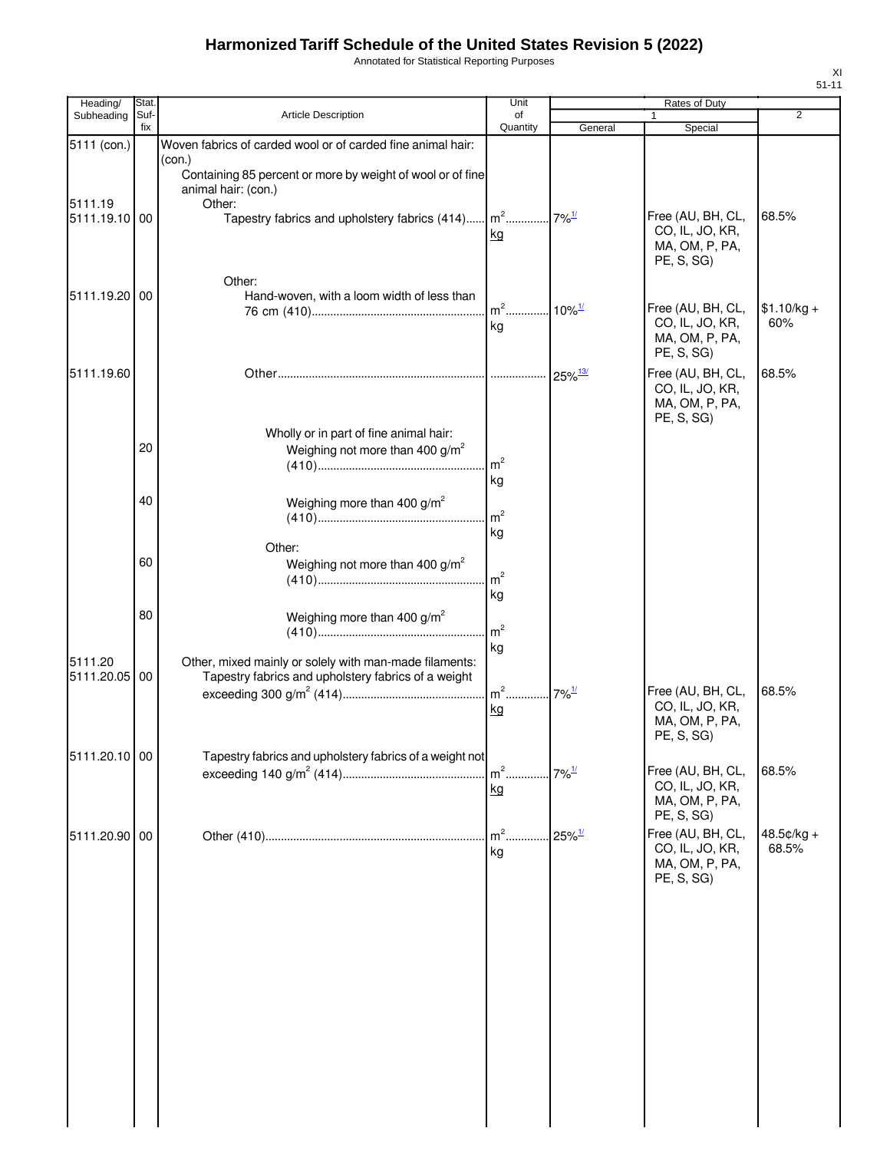Annotated for Statistical Reporting Purposes

| Heading/                 | Stat.       |                                                                                                               | Unit                       |                       | Rates of Duty                                                                      |                       |
|--------------------------|-------------|---------------------------------------------------------------------------------------------------------------|----------------------------|-----------------------|------------------------------------------------------------------------------------|-----------------------|
| Subheading               | Suf-<br>fix | Article Description                                                                                           | of                         |                       |                                                                                    | $\overline{2}$        |
| 5111 (con.)              |             | Woven fabrics of carded wool or of carded fine animal hair:                                                   | Quantity                   | General               | Special                                                                            |                       |
|                          |             | (con.)<br>Containing 85 percent or more by weight of wool or of fine<br>animal hair: (con.)                   |                            |                       |                                                                                    |                       |
| 5111.19<br>5111.19.10 00 |             | Other:<br>Tapestry fabrics and upholstery fabrics (414) m <sup>2</sup>                                        | kg                         | $7\%$ <sup>1/</sup>   | Free (AU, BH, CL,<br>CO, IL, JO, KR,<br>MA, OM, P, PA,<br>PE, S, SG)               | 68.5%                 |
| 5111.19.20 00            |             | Other:<br>Hand-woven, with a loom width of less than                                                          | $m2$<br>kg                 | $10\%$ <sup>1/</sup>  | Free (AU, BH, CL,<br>CO, IL, JO, KR,<br>MA, OM, P, PA,                             | $$1.10/kg +$<br>60%   |
| 5111.19.60               |             |                                                                                                               | .                          | $25\%$ <sup>13/</sup> | PE, S, SG)<br>Free (AU, BH, CL,<br>CO, IL, JO, KR,<br>MA, OM, P, PA,               | 68.5%                 |
|                          | 20          | Wholly or in part of fine animal hair:<br>Weighing not more than 400 $g/m^2$                                  | m <sup>2</sup>             |                       | PE, S, SG)                                                                         |                       |
|                          | 40          | Weighing more than 400 $g/m^2$                                                                                | kg<br>m <sup>2</sup><br>kg |                       |                                                                                    |                       |
|                          | 60          | Other:<br>Weighing not more than 400 $g/m^2$                                                                  | m <sup>2</sup><br>kg       |                       |                                                                                    |                       |
|                          | 80          | Weighing more than 400 $g/m^2$                                                                                | m <sup>2</sup><br>kg       |                       |                                                                                    |                       |
| 5111.20<br>5111.20.05 00 |             | Other, mixed mainly or solely with man-made filaments:<br>Tapestry fabrics and upholstery fabrics of a weight | $m2$<br>kg                 | $7\%$ <sup>1/</sup>   | Free (AU, BH, CL,<br>CO, IL, JO, KR,<br>MA, OM, P, PA,<br>PE, S, SG)               | 68.5%                 |
| 5111.20.10 00            |             | Tapestry fabrics and upholstery fabrics of a weight not                                                       | $m2$ .<br>kg               | $7\%$ <sup>1/</sup>   | Free (AU, BH, CL,<br>CO, IL, JO, KR,<br>MA, OM, P, PA,                             | 68.5%                 |
| 5111.20.90 00            |             |                                                                                                               | $m2$ .<br>kg               | $25\%$ <sup>1/</sup>  | PE, S, SG)<br>Free (AU, BH, CL,<br>CO, IL, JO, KR,<br>MA, OM, P, PA,<br>PE, S, SG) | $48.5¢/kg +$<br>68.5% |
|                          |             |                                                                                                               |                            |                       |                                                                                    |                       |
|                          |             |                                                                                                               |                            |                       |                                                                                    |                       |
|                          |             |                                                                                                               |                            |                       |                                                                                    |                       |
|                          |             |                                                                                                               |                            |                       |                                                                                    |                       |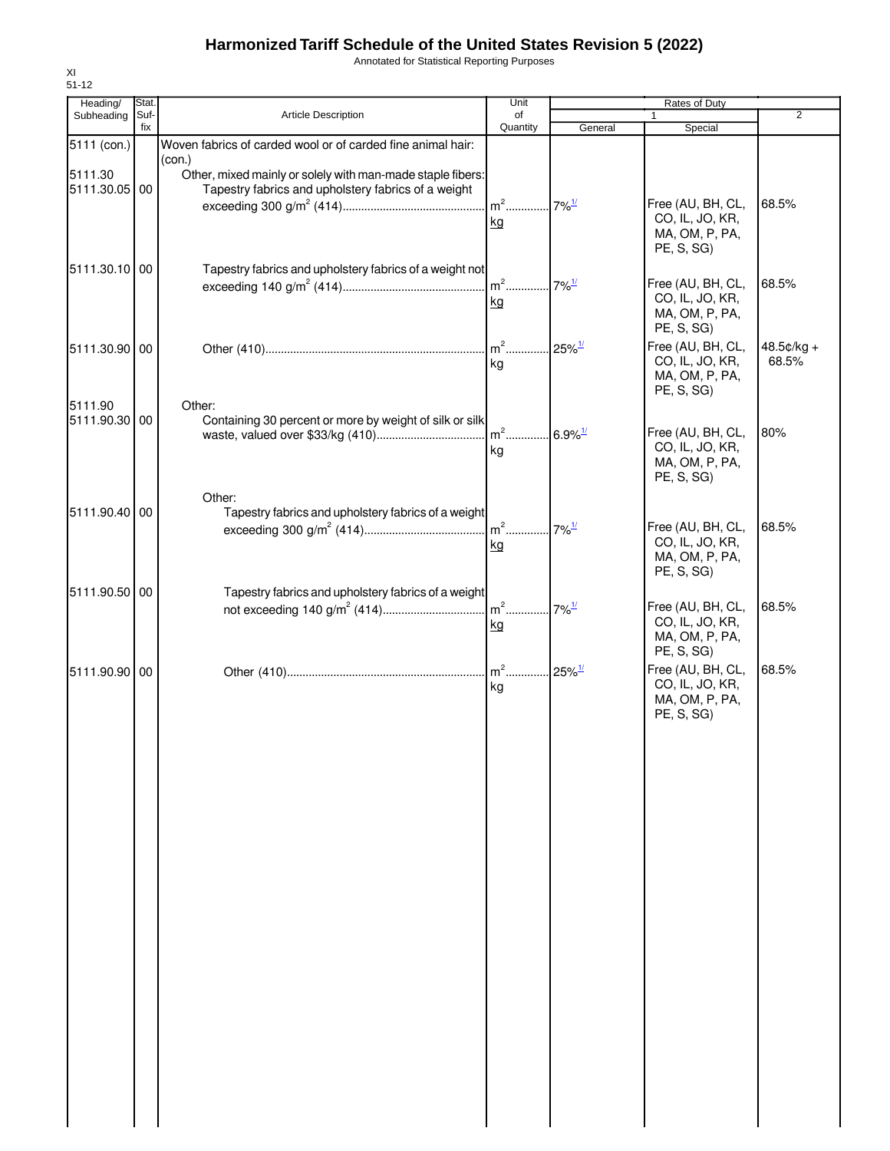Annotated for Statistical Reporting Purposes

| $51 - 12$                |             |                                                                                                                             |                                        |         |                                                                      |                |
|--------------------------|-------------|-----------------------------------------------------------------------------------------------------------------------------|----------------------------------------|---------|----------------------------------------------------------------------|----------------|
| Heading/                 | Stat.       |                                                                                                                             | Unit                                   |         | Rates of Duty                                                        |                |
| Subheading               | Suf-<br>fix | <b>Article Description</b>                                                                                                  | of<br>Quantity                         | General | Special                                                              | $\overline{2}$ |
| 5111 (con.)              |             | Woven fabrics of carded wool or of carded fine animal hair:                                                                 |                                        |         |                                                                      |                |
| 5111.30<br>5111.30.05 00 |             | (con.)<br>Other, mixed mainly or solely with man-made staple fibers:<br>Tapestry fabrics and upholstery fabrics of a weight |                                        |         |                                                                      |                |
|                          |             |                                                                                                                             | m <sup>2</sup> 7% <sup>1/</sup>        |         | Free (AU, BH, CL,                                                    | 68.5%          |
|                          |             |                                                                                                                             | kg                                     |         | CO, IL, JO, KR,<br>MA, OM, P, PA,<br>PE, S, SG)                      |                |
| 5111.30.10 00            |             | Tapestry fabrics and upholstery fabrics of a weight not                                                                     |                                        |         |                                                                      |                |
|                          |             |                                                                                                                             | kg                                     |         | Free (AU, BH, CL,<br>CO, IL, JO, KR,<br>MA, OM, P, PA,<br>PE, S, SG) | 68.5%          |
| 5111.30.90 00            |             |                                                                                                                             |                                        |         | Free (AU, BH, CL,                                                    | 48.5¢/kg +     |
| 5111.90                  |             | Other:                                                                                                                      | kg                                     |         | CO, IL, JO, KR,<br>MA, OM, P, PA,<br>PE, S, SG                       | 68.5%          |
| 5111.90.30 00            |             | Containing 30 percent or more by weight of silk or silk                                                                     |                                        |         |                                                                      |                |
|                          |             |                                                                                                                             |                                        |         | Free (AU, BH, CL,                                                    | 80%            |
|                          |             |                                                                                                                             | kg                                     |         | CO, IL, JO, KR,<br>MA, OM, P, PA,<br>PE, S, SG)                      |                |
|                          |             | Other:                                                                                                                      |                                        |         |                                                                      |                |
| 5111.90.40 00            |             | Tapestry fabrics and upholstery fabrics of a weight                                                                         | m <sup>2</sup> 7% <sup>1/</sup>        |         |                                                                      | 68.5%          |
|                          |             |                                                                                                                             | kg                                     |         | Free (AU, BH, CL,<br>CO, IL, JO, KR,<br>MA, OM, P, PA,<br>PE, S, SG) |                |
| 5111.90.50 00            |             | Tapestry fabrics and upholstery fabrics of a weight                                                                         |                                        |         |                                                                      |                |
|                          |             |                                                                                                                             | kg                                     |         | Free (AU, BH, CL,<br>CO, IL, JO, KR,<br>MA, OM, P, PA,<br>PE, S, SG) | 68.5%          |
| 5111.90.90 00            |             |                                                                                                                             | m <sup>2</sup> 25% <sup>1/</sup><br>kg |         | Free (AU, BH, CL,<br>CO, IL, JO, KR,<br>MA, OM, P, PA,<br>PE, S, SG) | 68.5%          |
|                          |             |                                                                                                                             |                                        |         |                                                                      |                |
|                          |             |                                                                                                                             |                                        |         |                                                                      |                |
|                          |             |                                                                                                                             |                                        |         |                                                                      |                |
|                          |             |                                                                                                                             |                                        |         |                                                                      |                |
|                          |             |                                                                                                                             |                                        |         |                                                                      |                |
|                          |             |                                                                                                                             |                                        |         |                                                                      |                |
|                          |             |                                                                                                                             |                                        |         |                                                                      |                |
|                          |             |                                                                                                                             |                                        |         |                                                                      |                |
|                          |             |                                                                                                                             |                                        |         |                                                                      |                |
|                          |             |                                                                                                                             |                                        |         |                                                                      |                |
|                          |             |                                                                                                                             |                                        |         |                                                                      |                |

XI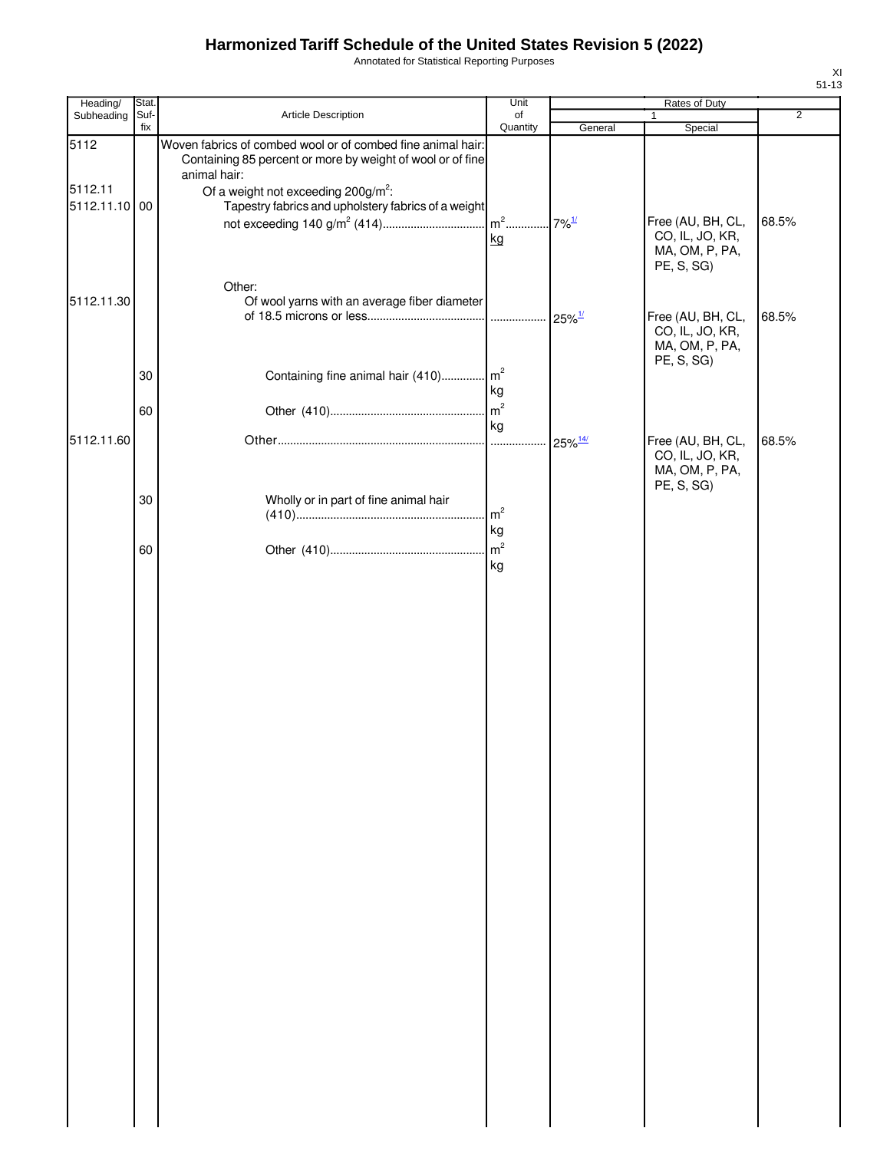Annotated for Statistical Reporting Purposes

| Heading/                 | Stat.       |                                                                                                                                           | Unit                 |                       | Rates of Duty                                                        |                |
|--------------------------|-------------|-------------------------------------------------------------------------------------------------------------------------------------------|----------------------|-----------------------|----------------------------------------------------------------------|----------------|
| Subheading               | Suf-<br>fix | Article Description                                                                                                                       | of<br>Quantity       | General               | 1<br>Special                                                         | $\overline{2}$ |
| 5112                     |             | Woven fabrics of combed wool or of combed fine animal hair:<br>Containing 85 percent or more by weight of wool or of fine<br>animal hair: |                      |                       |                                                                      |                |
| 5112.11<br>5112.11.10 00 |             | Of a weight not exceeding $200g/m^2$ :<br>Tapestry fabrics and upholstery fabrics of a weight                                             |                      |                       |                                                                      |                |
|                          |             |                                                                                                                                           | $m2$<br>kg           | $7\%$ <sup>1/</sup>   | Free (AU, BH, CL,<br>CO, IL, JO, KR,<br>MA, OM, P, PA,<br>PE, S, SG) | 68.5%          |
| 5112.11.30               |             | Other:<br>Of wool yarns with an average fiber diameter                                                                                    |                      | $25\%$ <sup>1/</sup>  | Free (AU, BH, CL,<br>CO, IL, JO, KR,<br>MA, OM, P, PA,               | 68.5%          |
|                          | 30          | Containing fine animal hair (410) m <sup>2</sup>                                                                                          | kg                   |                       | PE, S, SG)                                                           |                |
| 5112.11.60               | 60          |                                                                                                                                           | m <sup>2</sup><br>kg |                       |                                                                      |                |
|                          |             |                                                                                                                                           |                      | $25\%$ <sup>14/</sup> | Free (AU, BH, CL,<br>CO, IL, JO, KR,<br>MA, OM, P, PA,<br>PE, S, SG) | 68.5%          |
|                          | 30          | Wholly or in part of fine animal hair                                                                                                     | m <sup>2</sup><br>kg |                       |                                                                      |                |
|                          | 60          |                                                                                                                                           | m <sup>2</sup><br>kg |                       |                                                                      |                |
|                          |             |                                                                                                                                           |                      |                       |                                                                      |                |
|                          |             |                                                                                                                                           |                      |                       |                                                                      |                |
|                          |             |                                                                                                                                           |                      |                       |                                                                      |                |
|                          |             |                                                                                                                                           |                      |                       |                                                                      |                |
|                          |             |                                                                                                                                           |                      |                       |                                                                      |                |
|                          |             |                                                                                                                                           |                      |                       |                                                                      |                |
|                          |             |                                                                                                                                           |                      |                       |                                                                      |                |
|                          |             |                                                                                                                                           |                      |                       |                                                                      |                |
|                          |             |                                                                                                                                           |                      |                       |                                                                      |                |
|                          |             |                                                                                                                                           |                      |                       |                                                                      |                |
|                          |             |                                                                                                                                           |                      |                       |                                                                      |                |
|                          |             |                                                                                                                                           |                      |                       |                                                                      |                |
|                          |             |                                                                                                                                           |                      |                       |                                                                      |                |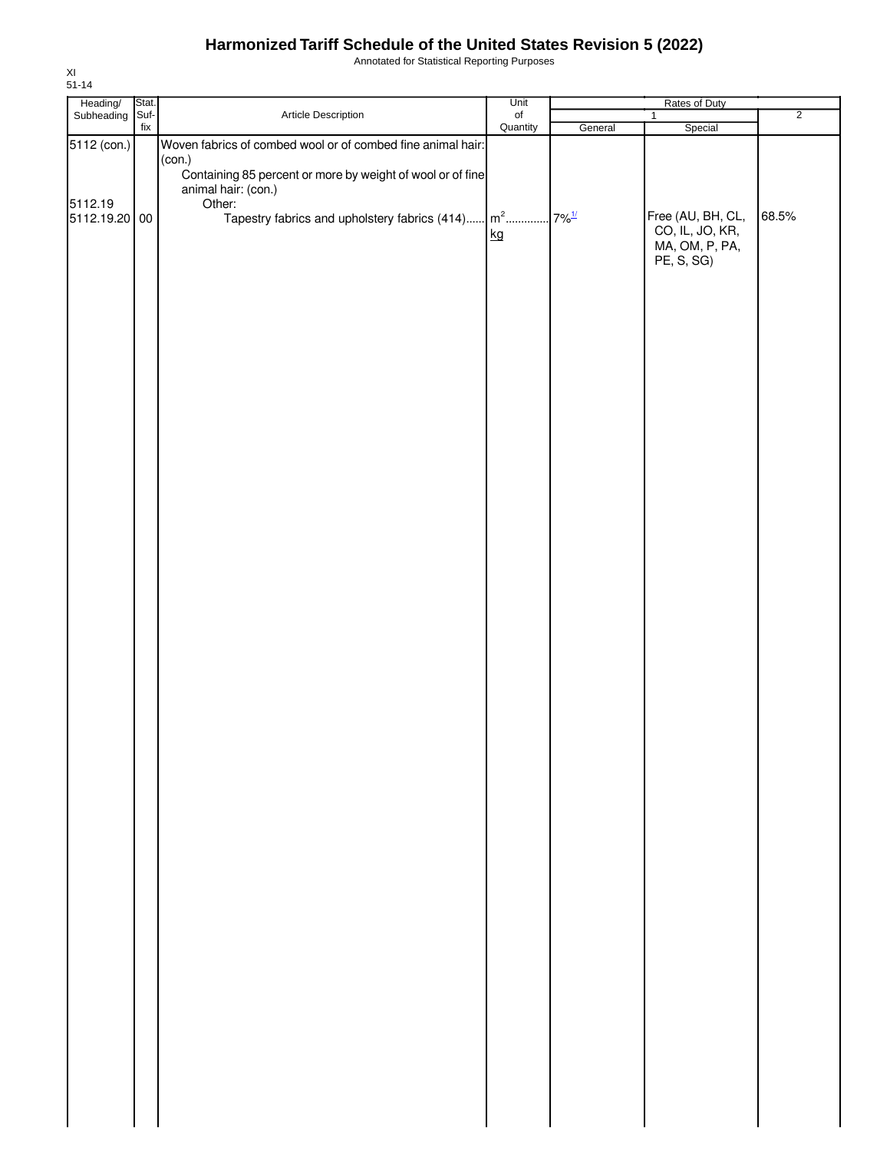Annotated for Statistical Reporting Purposes

| Heading/<br>Subheading | Stat. |                                                                                   | Unit           |                      | Rates of Duty     |                |
|------------------------|-------|-----------------------------------------------------------------------------------|----------------|----------------------|-------------------|----------------|
|                        | Suf-  | Article Description                                                               | of<br>Quantity |                      | $\mathbf{1}$      | $\overline{2}$ |
|                        | fix   |                                                                                   |                | General              | Special           |                |
| 5112 (con.)            |       | Woven fabrics of combed wool or of combed fine animal hair:                       |                |                      |                   |                |
|                        |       | (con.)                                                                            |                |                      |                   |                |
|                        |       | Containing 85 percent or more by weight of wool or of fine<br>animal hair: (con.) |                |                      |                   |                |
| 5112.19                |       | Other:                                                                            |                |                      |                   |                |
| 5112.19.20 00          |       | Tapestry fabrics and upholstery fabrics $(414)$ $\left  m^2$                      |                | $.7\%$ <sup>1/</sup> | Free (AU, BH, CL, | 68.5%          |
|                        |       |                                                                                   | kg             |                      | CO, IL, JO, KR,   |                |
|                        |       |                                                                                   |                |                      | MA, OM, P, PA,    |                |
|                        |       |                                                                                   |                |                      | PE, S, SG)        |                |
|                        |       |                                                                                   |                |                      |                   |                |
|                        |       |                                                                                   |                |                      |                   |                |
|                        |       |                                                                                   |                |                      |                   |                |
|                        |       |                                                                                   |                |                      |                   |                |
|                        |       |                                                                                   |                |                      |                   |                |
|                        |       |                                                                                   |                |                      |                   |                |
|                        |       |                                                                                   |                |                      |                   |                |
|                        |       |                                                                                   |                |                      |                   |                |
|                        |       |                                                                                   |                |                      |                   |                |
|                        |       |                                                                                   |                |                      |                   |                |
|                        |       |                                                                                   |                |                      |                   |                |
|                        |       |                                                                                   |                |                      |                   |                |
|                        |       |                                                                                   |                |                      |                   |                |
|                        |       |                                                                                   |                |                      |                   |                |
|                        |       |                                                                                   |                |                      |                   |                |
|                        |       |                                                                                   |                |                      |                   |                |
|                        |       |                                                                                   |                |                      |                   |                |
|                        |       |                                                                                   |                |                      |                   |                |
|                        |       |                                                                                   |                |                      |                   |                |
|                        |       |                                                                                   |                |                      |                   |                |
|                        |       |                                                                                   |                |                      |                   |                |
|                        |       |                                                                                   |                |                      |                   |                |
|                        |       |                                                                                   |                |                      |                   |                |
|                        |       |                                                                                   |                |                      |                   |                |
|                        |       |                                                                                   |                |                      |                   |                |
|                        |       |                                                                                   |                |                      |                   |                |
|                        |       |                                                                                   |                |                      |                   |                |
|                        |       |                                                                                   |                |                      |                   |                |
|                        |       |                                                                                   |                |                      |                   |                |
|                        |       |                                                                                   |                |                      |                   |                |
|                        |       |                                                                                   |                |                      |                   |                |
|                        |       |                                                                                   |                |                      |                   |                |
|                        |       |                                                                                   |                |                      |                   |                |
|                        |       |                                                                                   |                |                      |                   |                |
|                        |       |                                                                                   |                |                      |                   |                |
|                        |       |                                                                                   |                |                      |                   |                |
|                        |       |                                                                                   |                |                      |                   |                |
|                        |       |                                                                                   |                |                      |                   |                |
|                        |       |                                                                                   |                |                      |                   |                |
|                        |       |                                                                                   |                |                      |                   |                |
|                        |       |                                                                                   |                |                      |                   |                |
|                        |       |                                                                                   |                |                      |                   |                |
|                        |       |                                                                                   |                |                      |                   |                |
|                        |       |                                                                                   |                |                      |                   |                |
|                        |       |                                                                                   |                |                      |                   |                |
|                        |       |                                                                                   |                |                      |                   |                |
|                        |       |                                                                                   |                |                      |                   |                |
|                        |       |                                                                                   |                |                      |                   |                |
|                        |       |                                                                                   |                |                      |                   |                |
|                        |       |                                                                                   |                |                      |                   |                |
|                        |       |                                                                                   |                |                      |                   |                |
|                        |       |                                                                                   |                |                      |                   |                |
|                        |       |                                                                                   |                |                      |                   |                |
|                        |       |                                                                                   |                |                      |                   |                |
|                        |       |                                                                                   |                |                      |                   |                |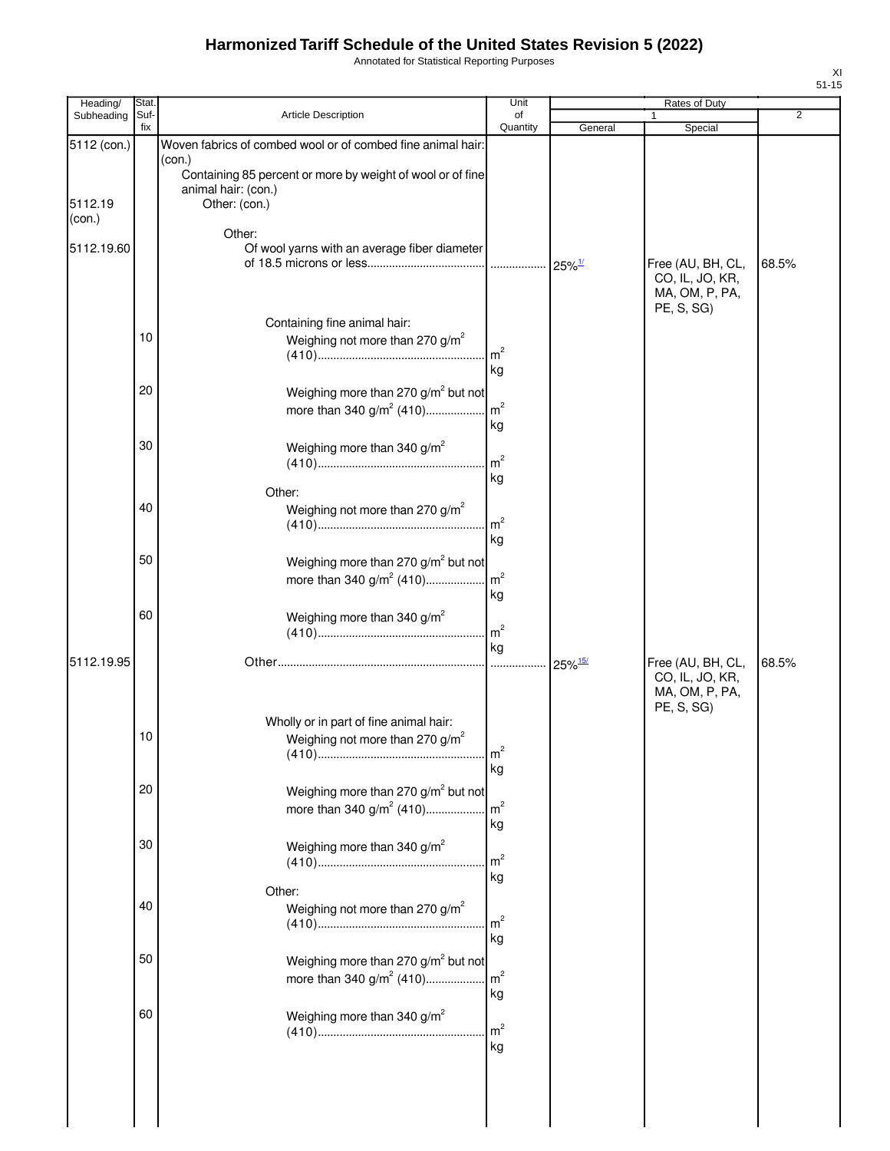Annotated for Statistical Reporting Purposes

|  | Heading/          | <b>Stat</b> |                                                                                                                                                            | Unit                  | Rates of Duty        |                                                                      |                |  |
|--|-------------------|-------------|------------------------------------------------------------------------------------------------------------------------------------------------------------|-----------------------|----------------------|----------------------------------------------------------------------|----------------|--|
|  | Subheading        | Suf-<br>fix | Article Description                                                                                                                                        | of<br>Quantity        | General              | 1<br>Special                                                         | $\overline{2}$ |  |
|  | 5112 (con.)       |             | Woven fabrics of combed wool or of combed fine animal hair:<br>(con.)<br>Containing 85 percent or more by weight of wool or of fine<br>animal hair: (con.) |                       |                      |                                                                      |                |  |
|  | 5112.19<br>(con.) |             | Other: (con.)                                                                                                                                              |                       |                      |                                                                      |                |  |
|  | 5112.19.60        |             | Other:<br>Of wool yarns with an average fiber diameter                                                                                                     |                       | $25\%$ <sup>1/</sup> | Free (AU, BH, CL,<br>CO, IL, JO, KR,<br>MA, OM, P, PA,               | 68.5%          |  |
|  |                   | 10          | Containing fine animal hair:<br>Weighing not more than 270 g/m <sup>2</sup>                                                                                | $\mathsf{Im}^2$<br>kg |                      | PE, S, SG)                                                           |                |  |
|  |                   | 20          | Weighing more than 270 g/m <sup>2</sup> but not<br>more than 340 $g/m^2$ (410)                                                                             | m <sup>2</sup><br>kg  |                      |                                                                      |                |  |
|  |                   | 30          | Weighing more than 340 g/m <sup>2</sup>                                                                                                                    | m <sup>2</sup><br>kg  |                      |                                                                      |                |  |
|  |                   | 40          | Other:<br>Weighing not more than 270 g/m <sup>2</sup>                                                                                                      | m <sup>2</sup><br>kg  | 25%15/               | Free (AU, BH, CL,<br>CO, IL, JO, KR,<br>MA, OM, P, PA,<br>PE, S, SG) | 68.5%          |  |
|  |                   | 50          | Weighing more than 270 g/m <sup>2</sup> but not                                                                                                            | kg                    |                      |                                                                      |                |  |
|  |                   | 60          | Weighing more than 340 g/m <sup>2</sup>                                                                                                                    | m <sup>2</sup><br>kg  |                      |                                                                      |                |  |
|  | 5112.19.95        |             |                                                                                                                                                            | 1.1.1.1               |                      |                                                                      |                |  |
|  |                   | 10          | Wholly or in part of fine animal hair:<br>Weighing not more than 270 $g/m^2$                                                                               | m <sup>2</sup><br>kg  |                      |                                                                      |                |  |
|  |                   | 20          | Weighing more than 270 g/m <sup>2</sup> but not<br>more than 340 $g/m^2$ (410)                                                                             | m <sup>2</sup><br>kg  |                      |                                                                      |                |  |
|  |                   | 30          | Weighing more than 340 $g/m^2$                                                                                                                             | m <sup>2</sup><br>kg  |                      |                                                                      |                |  |
|  |                   | 40          | Other:<br>Weighing not more than 270 g/m <sup>2</sup>                                                                                                      | m <sup>2</sup><br>kg  |                      |                                                                      |                |  |
|  |                   | 50          | Weighing more than 270 g/m <sup>2</sup> but not<br>more than 340 $g/m^2$ (410)                                                                             | m <sup>2</sup><br>kg  |                      |                                                                      |                |  |
|  |                   | 60          | Weighing more than 340 g/m <sup>2</sup>                                                                                                                    | m <sup>2</sup><br>kg  |                      |                                                                      |                |  |
|  |                   |             |                                                                                                                                                            |                       |                      |                                                                      |                |  |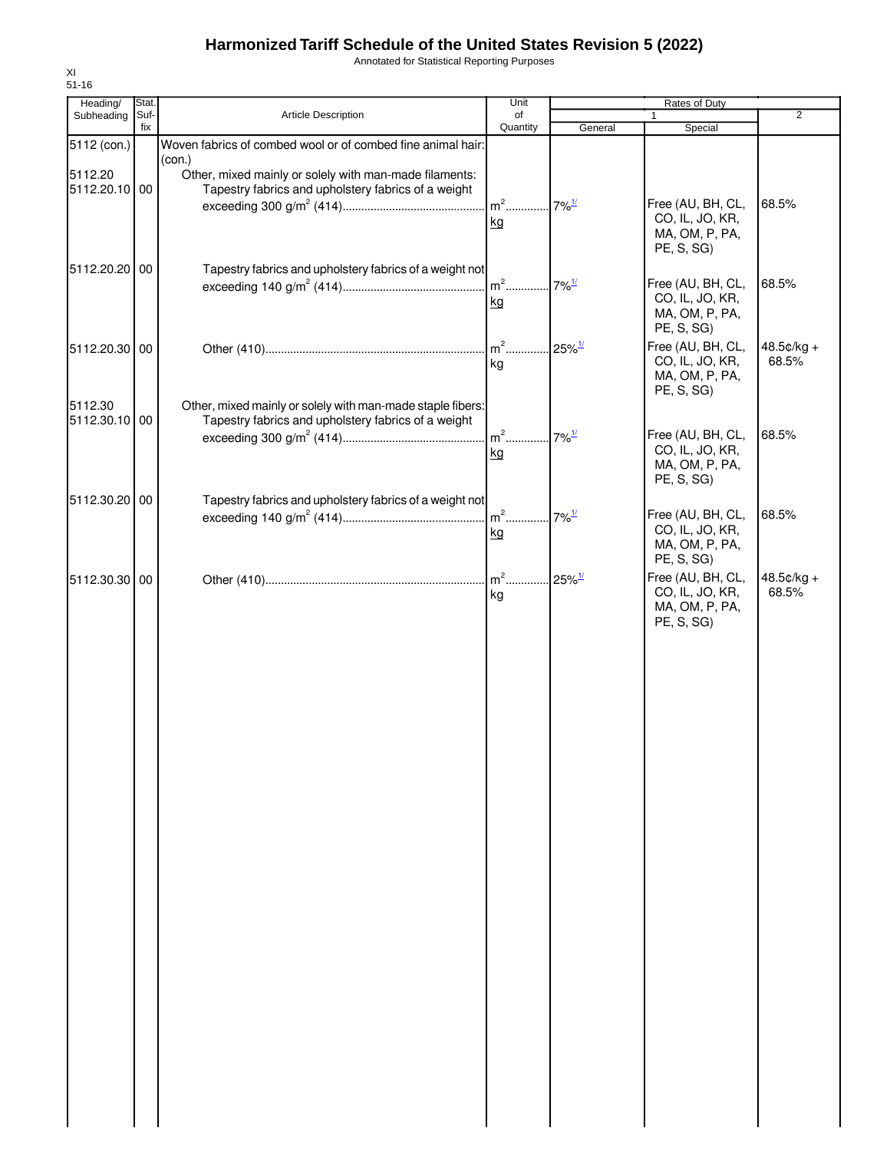Annotated for Statistical Reporting Purposes

| Heading/      | Stat. |                                                             | Unit     | Rates of Duty         |                   |              |
|---------------|-------|-------------------------------------------------------------|----------|-----------------------|-------------------|--------------|
| Subheading    | Suf-  | <b>Article Description</b>                                  | of       |                       | 1                 | 2            |
|               | fix   |                                                             | Quantity | General               | Special           |              |
| 5112 (con.)   |       | Woven fabrics of combed wool or of combed fine animal hair: |          |                       |                   |              |
|               |       | (con.)                                                      |          |                       |                   |              |
| 5112.20       |       | Other, mixed mainly or solely with man-made filaments:      |          |                       |                   |              |
| 5112.20.10 00 |       | Tapestry fabrics and upholstery fabrics of a weight         |          |                       |                   |              |
|               |       |                                                             | $m2$     | $7\%$ <sup>1/</sup>   | Free (AU, BH, CL, | 68.5%        |
|               |       |                                                             | kg       |                       | CO, IL, JO, KR,   |              |
|               |       |                                                             |          |                       | MA, OM, P, PA,    |              |
|               |       |                                                             |          |                       | PE, S, SG)        |              |
| 5112.20.20 00 |       | Tapestry fabrics and upholstery fabrics of a weight not     |          |                       |                   |              |
|               |       |                                                             |          | $7\%$ <sup>1/</sup>   | Free (AU, BH, CL, | 68.5%        |
|               |       |                                                             |          |                       | CO, IL, JO, KR,   |              |
|               |       |                                                             | kg       |                       | MA, OM, P, PA,    |              |
|               |       |                                                             |          |                       | PE, S, SG)        |              |
|               |       |                                                             |          |                       |                   |              |
| 5112.20.30 00 |       |                                                             | $m2$     | $.25\%$ <sup>1/</sup> | Free (AU, BH, CL, | $48.5¢/kg +$ |
|               |       |                                                             | kg       |                       | CO, IL, JO, KR,   | 68.5%        |
|               |       |                                                             |          |                       | MA, OM, P, PA,    |              |
|               |       |                                                             |          |                       | PE, S, SG)        |              |
| 5112.30       |       | Other, mixed mainly or solely with man-made staple fibers:  |          |                       |                   |              |
| 5112.30.10 00 |       | Tapestry fabrics and upholstery fabrics of a weight         |          |                       |                   |              |
|               |       |                                                             | $m^2$    | $7\%$ <sup>1/</sup>   | Free (AU, BH, CL, | 68.5%        |
|               |       |                                                             | kg       |                       | CO, IL, JO, KR,   |              |
|               |       |                                                             |          |                       | MA, OM, P, PA,    |              |
|               |       |                                                             |          |                       | PE, S, SG)        |              |
| 5112.30.20 00 |       | Tapestry fabrics and upholstery fabrics of a weight not     |          |                       |                   |              |
|               |       |                                                             | $m2$     | $7\%$ <sup>1/</sup>   | Free (AU, BH, CL, | 68.5%        |
|               |       |                                                             |          |                       | CO, IL, JO, KR,   |              |
|               |       |                                                             | kg       |                       | MA, OM, P, PA,    |              |
|               |       |                                                             |          |                       | PE, S, SG)        |              |
|               |       |                                                             |          |                       |                   |              |
| 5112.30.30 00 |       |                                                             | $m2$     | $25\%$ <sup>1/</sup>  | Free (AU, BH, CL, | 48.5¢/kg +   |
|               |       |                                                             | kg       |                       | CO, IL, JO, KR,   | 68.5%        |
|               |       |                                                             |          |                       | MA, OM, P, PA,    |              |
|               |       |                                                             |          |                       | PE, S, SG)        |              |
|               |       |                                                             |          |                       |                   |              |
|               |       |                                                             |          |                       |                   |              |
|               |       |                                                             |          |                       |                   |              |
|               |       |                                                             |          |                       |                   |              |
|               |       |                                                             |          |                       |                   |              |
|               |       |                                                             |          |                       |                   |              |
|               |       |                                                             |          |                       |                   |              |
|               |       |                                                             |          |                       |                   |              |
|               |       |                                                             |          |                       |                   |              |
|               |       |                                                             |          |                       |                   |              |
|               |       |                                                             |          |                       |                   |              |
|               |       |                                                             |          |                       |                   |              |
|               |       |                                                             |          |                       |                   |              |
|               |       |                                                             |          |                       |                   |              |
|               |       |                                                             |          |                       |                   |              |
|               |       |                                                             |          |                       |                   |              |
|               |       |                                                             |          |                       |                   |              |
|               |       |                                                             |          |                       |                   |              |
|               |       |                                                             |          |                       |                   |              |
|               |       |                                                             |          |                       |                   |              |
|               |       |                                                             |          |                       |                   |              |
|               |       |                                                             |          |                       |                   |              |
|               |       |                                                             |          |                       |                   |              |
|               |       |                                                             |          |                       |                   |              |
|               |       |                                                             |          |                       |                   |              |
|               |       |                                                             |          |                       |                   |              |
|               |       |                                                             |          |                       |                   |              |
|               |       |                                                             |          |                       |                   |              |
|               |       |                                                             |          |                       |                   |              |
|               |       |                                                             |          |                       |                   |              |
|               |       |                                                             |          |                       |                   |              |
|               |       |                                                             |          |                       |                   |              |
|               |       |                                                             |          |                       |                   |              |
|               |       |                                                             |          |                       |                   |              |
|               |       |                                                             |          |                       |                   |              |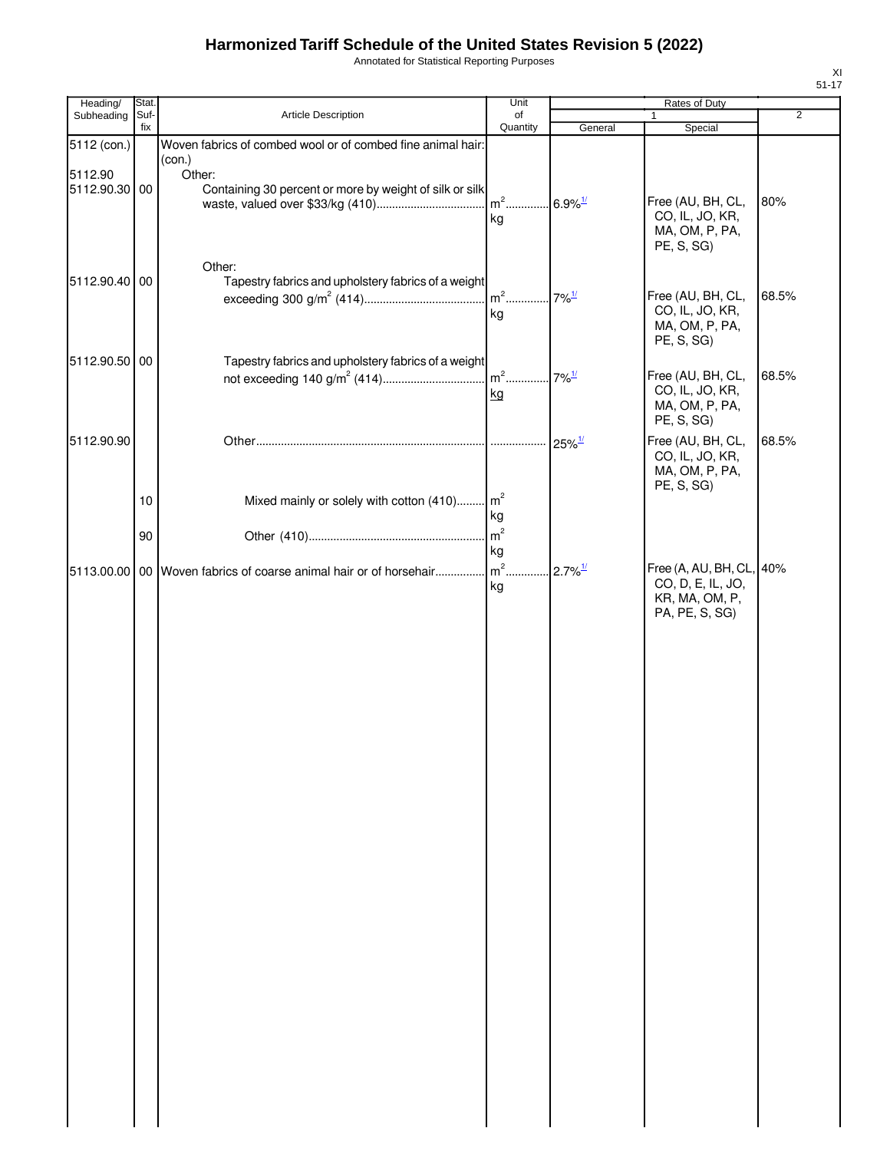Annotated for Statistical Reporting Purposes

| Heading/                 | Stat. |                                                                                        | Unit                                    | Rates of Duty          |                                                                                   |                |  |
|--------------------------|-------|----------------------------------------------------------------------------------------|-----------------------------------------|------------------------|-----------------------------------------------------------------------------------|----------------|--|
| Subheading               | Suf-  | Article Description                                                                    | of                                      |                        | 1                                                                                 | $\overline{2}$ |  |
| 5112 (con.)              | fix   | Woven fabrics of combed wool or of combed fine animal hair:                            | Quantity                                | General                | Special                                                                           |                |  |
|                          |       | (con.)                                                                                 |                                         |                        |                                                                                   |                |  |
| 5112.90<br>5112.90.30 00 |       | Other:<br>Containing 30 percent or more by weight of silk or silk                      | m <sup>2</sup> 6.9% <sup>1/</sup><br>kg |                        | Free (AU, BH, CL,<br>CO, IL, JO, KR,<br>MA, OM, P, PA,                            | 80%            |  |
| 5112.90.40 00            |       | Other:<br>Tapestry fabrics and upholstery fabrics of a weight                          | m <sup>2</sup> 7% <sup>1/</sup>         |                        | PE, S, SG)<br>Free (AU, BH, CL,                                                   | 68.5%          |  |
| 5112.90.50 00            |       | Tapestry fabrics and upholstery fabrics of a weight                                    | kg                                      |                        | CO, IL, JO, KR,<br>MA, OM, P, PA,<br>PE, S, SG)                                   |                |  |
|                          |       |                                                                                        | kg                                      |                        | Free (AU, BH, CL,<br>CO, IL, JO, KR,                                              | 68.5%          |  |
|                          |       |                                                                                        |                                         |                        | MA, OM, P, PA,<br>PE, S, SG)                                                      |                |  |
| 5112.90.90               |       |                                                                                        | .                                       | $25\%$ <sup>1/</sup>   | Free (AU, BH, CL,<br>CO, IL, JO, KR,<br>MA, OM, P, PA,<br>PE, S, SG)              | 68.5%          |  |
|                          | 10    | Mixed mainly or solely with cotton (410) m <sup>2</sup>                                | kg                                      |                        |                                                                                   |                |  |
|                          | 90    |                                                                                        | m <sup>2</sup><br>kg                    |                        |                                                                                   |                |  |
|                          |       | [5113.00.00   00   Woven fabrics of coarse animal hair or of horsehair  m <sup>2</sup> | kg                                      | $.2.7\%$ <sup>1/</sup> | Free (A, AU, BH, CL, 40%<br>CO, D, E, IL, JO,<br>KR, MA, OM, P,<br>PA, PE, S, SG) |                |  |
|                          |       |                                                                                        |                                         |                        |                                                                                   |                |  |
|                          |       |                                                                                        |                                         |                        |                                                                                   |                |  |
|                          |       |                                                                                        |                                         |                        |                                                                                   |                |  |
|                          |       |                                                                                        |                                         |                        |                                                                                   |                |  |
|                          |       |                                                                                        |                                         |                        |                                                                                   |                |  |
|                          |       |                                                                                        |                                         |                        |                                                                                   |                |  |
|                          |       |                                                                                        |                                         |                        |                                                                                   |                |  |
|                          |       |                                                                                        |                                         |                        |                                                                                   |                |  |
|                          |       |                                                                                        |                                         |                        |                                                                                   |                |  |
|                          |       |                                                                                        |                                         |                        |                                                                                   |                |  |